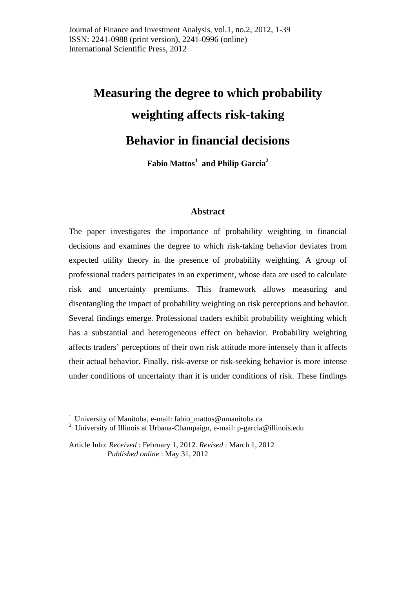# **Measuring the degree to which probability weighting affects risk-taking Behavior in financial decisions**

**Fabio Mattos<sup>1</sup> and Philip Garcia2**

# **Abstract**

The paper investigates the importance of probability weighting in financial decisions and examines the degree to which risk-taking behavior deviates from expected utility theory in the presence of probability weighting. A group of professional traders participates in an experiment, whose data are used to calculate risk and uncertainty premiums. This framework allows measuring and disentangling the impact of probability weighting on risk perceptions and behavior. Several findings emerge. Professional traders exhibit probability weighting which has a substantial and heterogeneous effect on behavior. Probability weighting affects traders' perceptions of their own risk attitude more intensely than it affects their actual behavior. Finally, risk-averse or risk-seeking behavior is more intense under conditions of uncertainty than it is under conditions of risk. These findings

1

<sup>&</sup>lt;sup>1</sup> University of Manitoba, e-mail: fabio\_mattos@umanitoba.ca

<sup>&</sup>lt;sup>2</sup> University of Illinois at Urbana-Champaign, e-mail: p-garcia@illinois.edu

Article Info: *Received* : February 1, 2012*. Revised* : March 1, 2012 *Published online* : May 31, 2012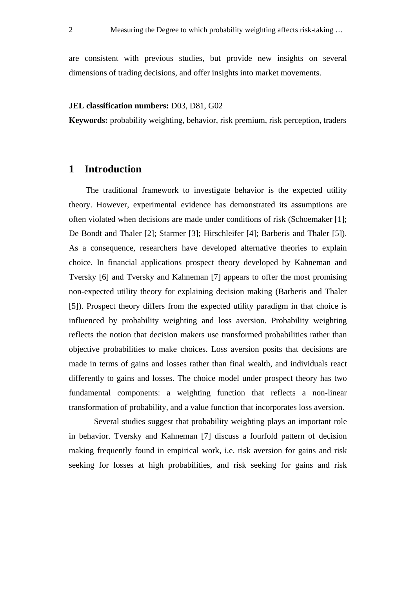are consistent with previous studies, but provide new insights on several dimensions of trading decisions, and offer insights into market movements.

#### **JEL classification numbers:** D03, D81, G02

**Keywords:** probability weighting, behavior, risk premium, risk perception, traders

# **1 Introduction**

The traditional framework to investigate behavior is the expected utility theory. However, experimental evidence has demonstrated its assumptions are often violated when decisions are made under conditions of risk (Schoemaker [1]; De Bondt and Thaler [2]; Starmer [3]; Hirschleifer [4]; Barberis and Thaler [5]). As a consequence, researchers have developed alternative theories to explain choice. In financial applications prospect theory developed by Kahneman and Tversky [6] and Tversky and Kahneman [7] appears to offer the most promising non-expected utility theory for explaining decision making (Barberis and Thaler [5]). Prospect theory differs from the expected utility paradigm in that choice is influenced by probability weighting and loss aversion. Probability weighting reflects the notion that decision makers use transformed probabilities rather than objective probabilities to make choices. Loss aversion posits that decisions are made in terms of gains and losses rather than final wealth, and individuals react differently to gains and losses. The choice model under prospect theory has two fundamental components: a weighting function that reflects a non-linear transformation of probability, and a value function that incorporates loss aversion.

Several studies suggest that probability weighting plays an important role in behavior. Tversky and Kahneman [7] discuss a fourfold pattern of decision making frequently found in empirical work, i.e. risk aversion for gains and risk seeking for losses at high probabilities, and risk seeking for gains and risk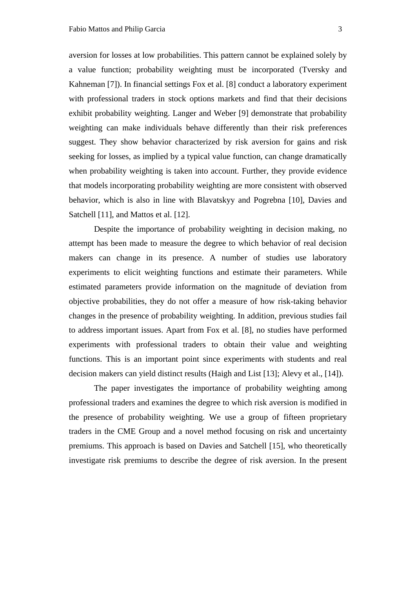aversion for losses at low probabilities. This pattern cannot be explained solely by a value function; probability weighting must be incorporated (Tversky and Kahneman [7]). In financial settings Fox et al. [8] conduct a laboratory experiment with professional traders in stock options markets and find that their decisions exhibit probability weighting. Langer and Weber [9] demonstrate that probability weighting can make individuals behave differently than their risk preferences suggest. They show behavior characterized by risk aversion for gains and risk seeking for losses, as implied by a typical value function, can change dramatically when probability weighting is taken into account. Further, they provide evidence that models incorporating probability weighting are more consistent with observed behavior, which is also in line with Blavatskyy and Pogrebna [10], Davies and Satchell [11], and Mattos et al. [12].

Despite the importance of probability weighting in decision making, no attempt has been made to measure the degree to which behavior of real decision makers can change in its presence. A number of studies use laboratory experiments to elicit weighting functions and estimate their parameters. While estimated parameters provide information on the magnitude of deviation from objective probabilities, they do not offer a measure of how risk-taking behavior changes in the presence of probability weighting. In addition, previous studies fail to address important issues. Apart from Fox et al. [8], no studies have performed experiments with professional traders to obtain their value and weighting functions. This is an important point since experiments with students and real decision makers can yield distinct results (Haigh and List [13]; Alevy et al., [14]).

The paper investigates the importance of probability weighting among professional traders and examines the degree to which risk aversion is modified in the presence of probability weighting. We use a group of fifteen proprietary traders in the CME Group and a novel method focusing on risk and uncertainty premiums. This approach is based on Davies and Satchell [15], who theoretically investigate risk premiums to describe the degree of risk aversion. In the present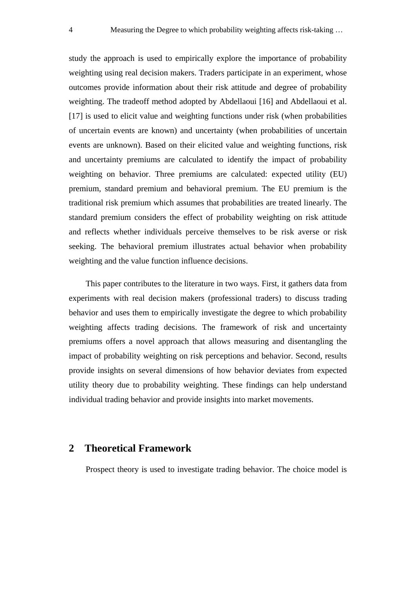study the approach is used to empirically explore the importance of probability weighting using real decision makers. Traders participate in an experiment, whose outcomes provide information about their risk attitude and degree of probability weighting. The tradeoff method adopted by Abdellaoui [16] and Abdellaoui et al. [17] is used to elicit value and weighting functions under risk (when probabilities of uncertain events are known) and uncertainty (when probabilities of uncertain events are unknown). Based on their elicited value and weighting functions, risk and uncertainty premiums are calculated to identify the impact of probability weighting on behavior. Three premiums are calculated: expected utility (EU) premium, standard premium and behavioral premium. The EU premium is the traditional risk premium which assumes that probabilities are treated linearly. The standard premium considers the effect of probability weighting on risk attitude and reflects whether individuals perceive themselves to be risk averse or risk seeking. The behavioral premium illustrates actual behavior when probability weighting and the value function influence decisions.

This paper contributes to the literature in two ways. First, it gathers data from experiments with real decision makers (professional traders) to discuss trading behavior and uses them to empirically investigate the degree to which probability weighting affects trading decisions. The framework of risk and uncertainty premiums offers a novel approach that allows measuring and disentangling the impact of probability weighting on risk perceptions and behavior. Second, results provide insights on several dimensions of how behavior deviates from expected utility theory due to probability weighting. These findings can help understand individual trading behavior and provide insights into market movements.

# **2 Theoretical Framework**

Prospect theory is used to investigate trading behavior. The choice model is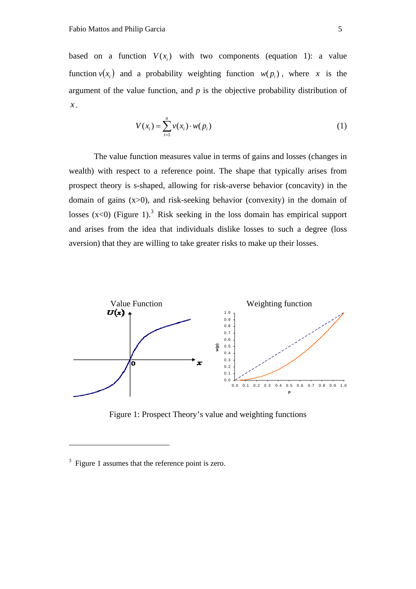based on a function  $V(x_i)$  with two components (equation 1): a value function  $v(x_i)$  and a probability weighting function  $w(p_i)$ , where *x* is the argument of the value function, and *p* is the objective probability distribution of *x* .

$$
V(x_i) = \sum_{i=1}^{n} v(x_i) \cdot w(p_i)
$$
 (1)

The value function measures value in terms of gains and losses (changes in wealth) with respect to a reference point. The shape that typically arises from prospect theory is s-shaped, allowing for risk-averse behavior (concavity) in the domain of gains (x>0), and risk-seeking behavior (convexity) in the domain of losses  $(x<0)$  (Figure 1).<sup>3</sup> Risk seeking in the loss domain has empirical support and arises from the idea that individuals dislike losses to such a degree (loss aversion) that they are willing to take greater risks to make up their losses.



Figure 1: Prospect Theory's value and weighting functions

<u>.</u>

<sup>&</sup>lt;sup>3</sup> Figure 1 assumes that the reference point is zero.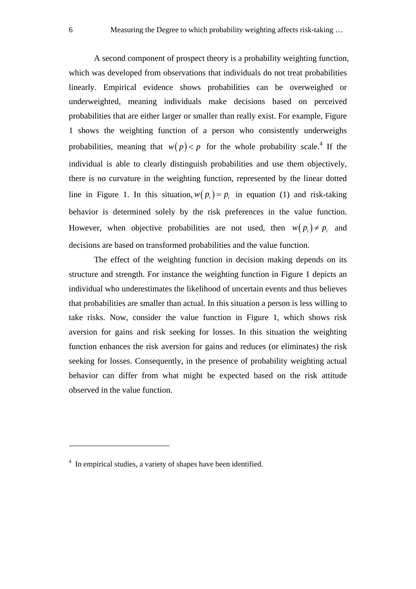A second component of prospect theory is a probability weighting function, which was developed from observations that individuals do not treat probabilities linearly. Empirical evidence shows probabilities can be overweighed or underweighted, meaning individuals make decisions based on perceived probabilities that are either larger or smaller than really exist. For example, Figure 1 shows the weighting function of a person who consistently underweighs probabilities, meaning that  $w(p) < p$  for the whole probability scale.<sup>4</sup> If the individual is able to clearly distinguish probabilities and use them objectively, there is no curvature in the weighting function, represented by the linear dotted line in Figure 1. In this situation,  $w(p_i) = p_i$  in equation (1) and risk-taking behavior is determined solely by the risk preferences in the value function. However, when objective probabilities are not used, then  $w(p_i) \neq p_i$  and decisions are based on transformed probabilities and the value function.

The effect of the weighting function in decision making depends on its structure and strength. For instance the weighting function in Figure 1 depicts an individual who underestimates the likelihood of uncertain events and thus believes that probabilities are smaller than actual. In this situation a person is less willing to take risks. Now, consider the value function in Figure 1, which shows risk aversion for gains and risk seeking for losses. In this situation the weighting function enhances the risk aversion for gains and reduces (or eliminates) the risk seeking for losses. Consequently, in the presence of probability weighting actual behavior can differ from what might be expected based on the risk attitude observed in the value function.

1

<sup>&</sup>lt;sup>4</sup> In empirical studies, a variety of shapes have been identified.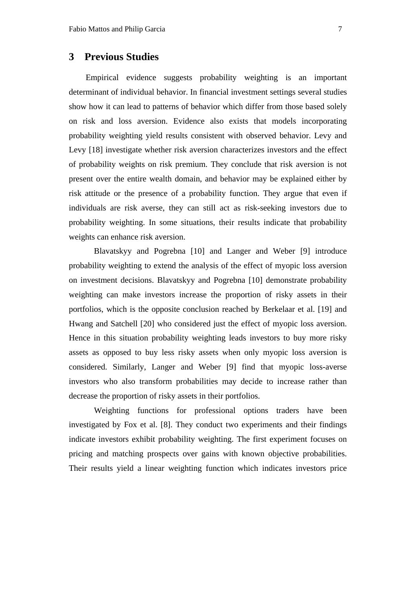# **3 Previous Studies**

Empirical evidence suggests probability weighting is an important determinant of individual behavior. In financial investment settings several studies show how it can lead to patterns of behavior which differ from those based solely on risk and loss aversion. Evidence also exists that models incorporating probability weighting yield results consistent with observed behavior. Levy and Levy [18] investigate whether risk aversion characterizes investors and the effect of probability weights on risk premium. They conclude that risk aversion is not present over the entire wealth domain, and behavior may be explained either by risk attitude or the presence of a probability function. They argue that even if individuals are risk averse, they can still act as risk-seeking investors due to probability weighting. In some situations, their results indicate that probability weights can enhance risk aversion.

Blavatskyy and Pogrebna [10] and Langer and Weber [9] introduce probability weighting to extend the analysis of the effect of myopic loss aversion on investment decisions. Blavatskyy and Pogrebna [10] demonstrate probability weighting can make investors increase the proportion of risky assets in their portfolios, which is the opposite conclusion reached by Berkelaar et al. [19] and Hwang and Satchell [20] who considered just the effect of myopic loss aversion. Hence in this situation probability weighting leads investors to buy more risky assets as opposed to buy less risky assets when only myopic loss aversion is considered. Similarly, Langer and Weber [9] find that myopic loss-averse investors who also transform probabilities may decide to increase rather than decrease the proportion of risky assets in their portfolios.

Weighting functions for professional options traders have been investigated by Fox et al. [8]. They conduct two experiments and their findings indicate investors exhibit probability weighting. The first experiment focuses on pricing and matching prospects over gains with known objective probabilities. Their results yield a linear weighting function which indicates investors price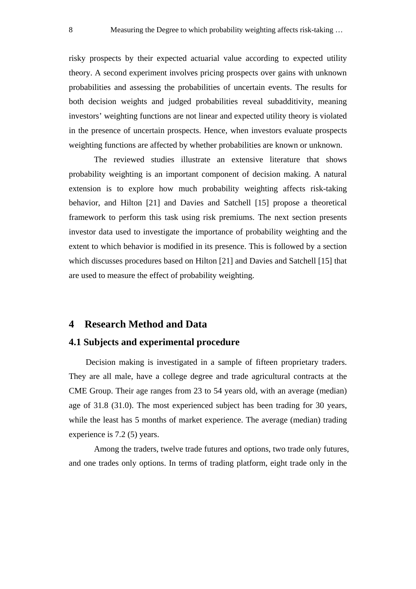risky prospects by their expected actuarial value according to expected utility theory. A second experiment involves pricing prospects over gains with unknown probabilities and assessing the probabilities of uncertain events. The results for both decision weights and judged probabilities reveal subadditivity, meaning investors' weighting functions are not linear and expected utility theory is violated in the presence of uncertain prospects. Hence, when investors evaluate prospects weighting functions are affected by whether probabilities are known or unknown.

The reviewed studies illustrate an extensive literature that shows probability weighting is an important component of decision making. A natural extension is to explore how much probability weighting affects risk-taking behavior, and Hilton [21] and Davies and Satchell [15] propose a theoretical framework to perform this task using risk premiums. The next section presents investor data used to investigate the importance of probability weighting and the extent to which behavior is modified in its presence. This is followed by a section which discusses procedures based on Hilton [21] and Davies and Satchell [15] that are used to measure the effect of probability weighting.

#### **4 Research Method and Data**

# **4.1 Subjects and experimental procedure**

Decision making is investigated in a sample of fifteen proprietary traders. They are all male, have a college degree and trade agricultural contracts at the CME Group. Their age ranges from 23 to 54 years old, with an average (median) age of 31.8 (31.0). The most experienced subject has been trading for 30 years, while the least has 5 months of market experience. The average (median) trading experience is 7.2 (5) years.

Among the traders, twelve trade futures and options, two trade only futures, and one trades only options. In terms of trading platform, eight trade only in the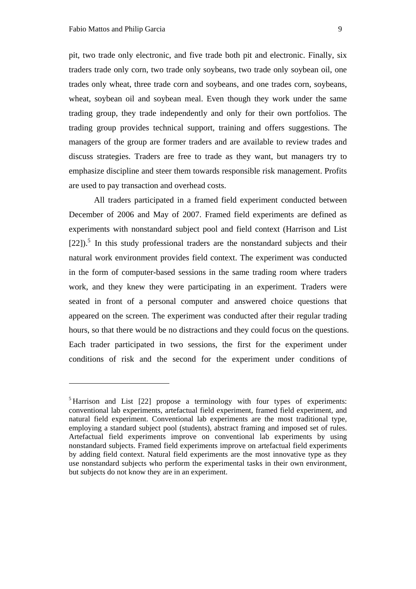1

pit, two trade only electronic, and five trade both pit and electronic. Finally, six traders trade only corn, two trade only soybeans, two trade only soybean oil, one trades only wheat, three trade corn and soybeans, and one trades corn, soybeans, wheat, soybean oil and soybean meal. Even though they work under the same trading group, they trade independently and only for their own portfolios. The trading group provides technical support, training and offers suggestions. The managers of the group are former traders and are available to review trades and discuss strategies. Traders are free to trade as they want, but managers try to emphasize discipline and steer them towards responsible risk management. Profits are used to pay transaction and overhead costs.

All traders participated in a framed field experiment conducted between December of 2006 and May of 2007. Framed field experiments are defined as experiments with nonstandard subject pool and field context (Harrison and List  $[22]$ ).<sup>5</sup> In this study professional traders are the nonstandard subjects and their natural work environment provides field context. The experiment was conducted in the form of computer-based sessions in the same trading room where traders work, and they knew they were participating in an experiment. Traders were seated in front of a personal computer and answered choice questions that appeared on the screen. The experiment was conducted after their regular trading hours, so that there would be no distractions and they could focus on the questions. Each trader participated in two sessions, the first for the experiment under conditions of risk and the second for the experiment under conditions of

<sup>&</sup>lt;sup>5</sup> Harrison and List [22] propose a terminology with four types of experiments: conventional lab experiments, artefactual field experiment, framed field experiment, and natural field experiment. Conventional lab experiments are the most traditional type, employing a standard subject pool (students), abstract framing and imposed set of rules. Artefactual field experiments improve on conventional lab experiments by using nonstandard subjects. Framed field experiments improve on artefactual field experiments by adding field context. Natural field experiments are the most innovative type as they use nonstandard subjects who perform the experimental tasks in their own environment, but subjects do not know they are in an experiment.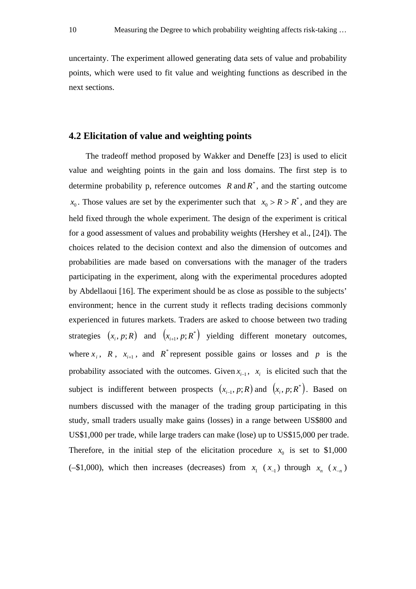uncertainty. The experiment allowed generating data sets of value and probability points, which were used to fit value and weighting functions as described in the next sections.

## **4.2 Elicitation of value and weighting points**

The tradeoff method proposed by Wakker and Deneffe [23] is used to elicit value and weighting points in the gain and loss domains. The first step is to determine probability p, reference outcomes  $R$  and  $R^*$ , and the starting outcome  $x_0$ . Those values are set by the experimenter such that  $x_0 > R > R^*$ , and they are held fixed through the whole experiment. The design of the experiment is critical for a good assessment of values and probability weights (Hershey et al., [24]). The choices related to the decision context and also the dimension of outcomes and probabilities are made based on conversations with the manager of the traders participating in the experiment, along with the experimental procedures adopted by Abdellaoui [16]. The experiment should be as close as possible to the subjects' environment; hence in the current study it reflects trading decisions commonly experienced in futures markets. Traders are asked to choose between two trading strategies  $(x_i, p; R)$  and  $(x_{i+1}, p; R^*)$  yielding different monetary outcomes, where  $x_i$ ,  $R$ ,  $x_{i+1}$ , and  $R^*$  represent possible gains or losses and  $p$  is the probability associated with the outcomes. Given  $x_{i-1}$ ,  $x_i$  is elicited such that the subject is indifferent between prospects  $(x_{i-1}, p; R)$  and  $(x_i, p; R^*)$ . Based on numbers discussed with the manager of the trading group participating in this study, small traders usually make gains (losses) in a range between US\$800 and US\$1,000 per trade, while large traders can make (lose) up to US\$15,000 per trade. Therefore, in the initial step of the elicitation procedure  $x_0$  is set to \$1,000 (-\$1,000), which then increases (decreases) from  $x_1$  ( $x_1$ ) through  $x_n$  ( $x_n$ )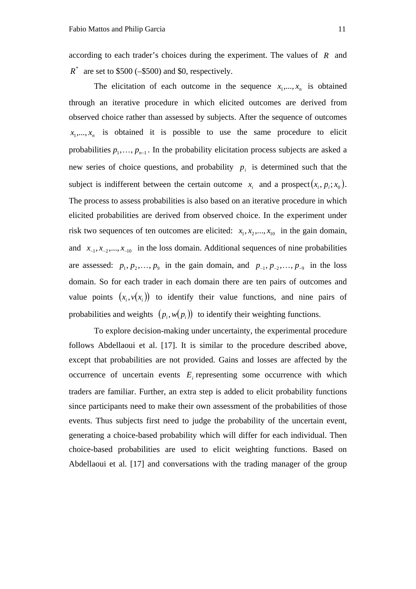according to each trader's choices during the experiment. The values of *R* and  $R^*$  are set to \$500 (–\$500) and \$0, respectively.

The elicitation of each outcome in the sequence  $x_1, \ldots, x_n$  is obtained through an iterative procedure in which elicited outcomes are derived from observed choice rather than assessed by subjects. After the sequence of outcomes  $x_1, \ldots, x_n$  is obtained it is possible to use the same procedure to elicit probabilities  $p_1, \ldots, p_{n-1}$ . In the probability elicitation process subjects are asked a new series of choice questions, and probability  $p_i$  is determined such that the subject is indifferent between the certain outcome  $x_i$  and a prospect  $(x_i, p_i; x_0)$ . The process to assess probabilities is also based on an iterative procedure in which elicited probabilities are derived from observed choice. In the experiment under risk two sequences of ten outcomes are elicited:  $x_1, x_2, ..., x_{10}$  in the gain domain, and  $x_{-1}, x_{-2},..., x_{-10}$  in the loss domain. Additional sequences of nine probabilities are assessed:  $p_1, p_2, \ldots, p_9$  in the gain domain, and  $p_{-1}, p_{-2}, \ldots, p_{-9}$  in the loss domain. So for each trader in each domain there are ten pairs of outcomes and value points  $(x_i, y(x_i))$  to identify their value functions, and nine pairs of probabilities and weights  $(p_i, w(p_i))$  to identify their weighting functions.

To explore decision-making under uncertainty, the experimental procedure follows Abdellaoui et al. [17]. It is similar to the procedure described above, except that probabilities are not provided. Gains and losses are affected by the occurrence of uncertain events  $E_i$  representing some occurrence with which traders are familiar. Further, an extra step is added to elicit probability functions since participants need to make their own assessment of the probabilities of those events. Thus subjects first need to judge the probability of the uncertain event, generating a choice-based probability which will differ for each individual. Then choice-based probabilities are used to elicit weighting functions. Based on Abdellaoui et al. [17] and conversations with the trading manager of the group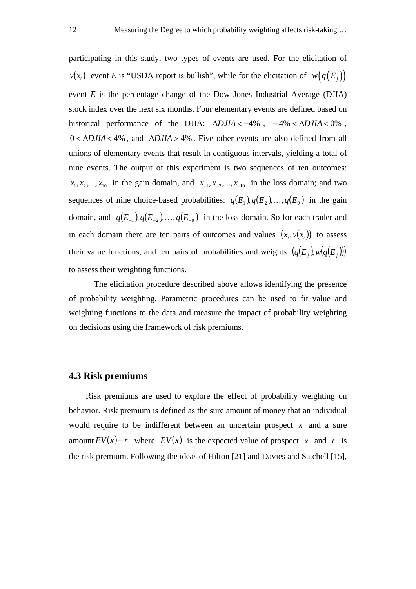participating in this study, two types of events are used. For the elicitation of  $v(x_i)$  event *E* is "USDA report is bullish", while for the elicitation of  $w(q(E_i))$ event *E* is the percentage change of the Dow Jones Industrial Average (DJIA) stock index over the next six months. Four elementary events are defined based on historical performance of the DJIA:  $\triangle D J I A < -4\%$ ,  $-4\% < \triangle D J I A < 0\%$ ,  $0 < \Delta D JIA < 4\%$ , and  $\Delta D JIA > 4\%$ . Five other events are also defined from all unions of elementary events that result in contiguous intervals, yielding a total of nine events. The output of this experiment is two sequences of ten outcomes:  $x_1, x_2, \ldots, x_{10}$  in the gain domain, and  $x_{-1}, x_{-2}, \ldots, x_{-10}$  in the loss domain; and two sequences of nine choice-based probabilities:  $q(E_1), q(E_2), \ldots, q(E_9)$  in the gain domain, and  $q(E_{-1}), q(E_{-2}), \ldots, q(E_{-9})$  in the loss domain. So for each trader and in each domain there are ten pairs of outcomes and values  $(x_i, v(x_i))$  to assess their value functions, and ten pairs of probabilities and weights  $(q(E_i), w(q(E_i)))$ to assess their weighting functions.

The elicitation procedure described above allows identifying the presence of probability weighting. Parametric procedures can be used to fit value and weighting functions to the data and measure the impact of probability weighting on decisions using the framework of risk premiums.

#### **4.3 Risk premiums**

Risk premiums are used to explore the effect of probability weighting on behavior. Risk premium is defined as the sure amount of money that an individual would require to be indifferent between an uncertain prospect *x* and a sure amount  $EV(x) - r$ , where  $EV(x)$  is the expected value of prospect x and r is the risk premium. Following the ideas of Hilton [21] and Davies and Satchell [15],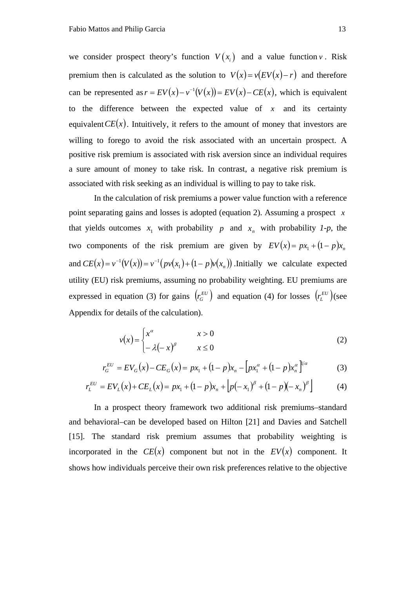we consider prospect theory's function  $V(x_i)$  and a value function *v*. Risk premium then is calculated as the solution to  $V(x) = v(EV(x) - r)$  and therefore can be represented as  $r = EV(x) - v^{-1}(V(x)) = EV(x) - CE(x)$ , which is equivalent to the difference between the expected value of  $x$  and its certainty equivalent  $CE(x)$ . Intuitively, it refers to the amount of money that investors are willing to forego to avoid the risk associated with an uncertain prospect. A positive risk premium is associated with risk aversion since an individual requires a sure amount of money to take risk. In contrast, a negative risk premium is associated with risk seeking as an individual is willing to pay to take risk.

In the calculation of risk premiums a power value function with a reference point separating gains and losses is adopted (equation 2). Assuming a prospect *x* that yields outcomes  $x_1$  with probability  $p$  and  $x_n$  with probability  $1-p$ , the two components of the risk premium are given by  $EV(x) = px_1 + (1 - p)x_n$ and  $CE(x) = v^{-1}(V(x)) = v^{-1}(pv(x_1) + (1 - p)v(x_n))$ . Initially we calculate expected utility (EU) risk premiums, assuming no probability weighting. EU premiums are expressed in equation (3) for gains  $(r_G^{EU})$  and equation (4) for losses  $(r_L^{EU})$  (see Appendix for details of the calculation).

$$
v(x) = \begin{cases} x^{\alpha} & x > 0 \\ -\lambda(-x)^{\beta} & x \le 0 \end{cases}
$$
 (2)

$$
r_G^{EU} = EV_G(x) - CE_G(x) = px_1 + (1 - p)x_n - [px_1^{\alpha} + (1 - p)x_n^{\alpha}]^{1/\alpha}
$$
 (3)

$$
r_L^{EU} = EV_L(x) + CE_L(x) = px_1 + (1 - p)x_n + [p(-x_1)^{\beta} + (1 - p)(-x_n)^{\beta}] \tag{4}
$$

In a prospect theory framework two additional risk premiums–standard and behavioral–can be developed based on Hilton [21] and Davies and Satchell [15]. The standard risk premium assumes that probability weighting is incorporated in the  $CE(x)$  component but not in the  $EV(x)$  component. It shows how individuals perceive their own risk preferences relative to the objective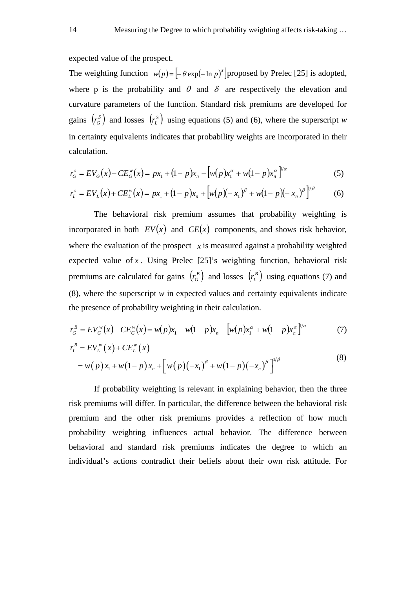expected value of the prospect.

The weighting function  $w(p) = \left[-\theta \exp(-\ln p)^{\delta}\right]$  proposed by Prelec [25] is adopted, where p is the probability and  $\theta$  and  $\delta$  are respectively the elevation and curvature parameters of the function. Standard risk premiums are developed for gains  $(r_G^s)$  and losses  $(r_L^s)$  using equations (5) and (6), where the superscript *w* in certainty equivalents indicates that probability weights are incorporated in their calculation.

$$
r_G^s = EV_G(x) - CE_G^w(x) = px_1 + (1 - p)x_n - [w(p)x_1^{\alpha} + w(1 - p)x_n^{\alpha}]^{1/\alpha}
$$
 (5)

$$
r_L^s = EV_L(x) + CE_L^w(x) = px_1 + (1 - p)x_n + \left[w(p)(-x_1)^{\beta} + w(1 - p)(-x_n)^{\beta}\right]^{1/\beta}
$$
 (6)

The behavioral risk premium assumes that probability weighting is incorporated in both  $EV(x)$  and  $CE(x)$  components, and shows risk behavior, where the evaluation of the prospect  $\bar{x}$  is measured against a probability weighted expected value of  $x$ . Using Prelec  $[25]'$ s weighting function, behavioral risk premiums are calculated for gains  $r_a^B$  and losses  $r_b^B$  using equations (7) and (8), where the superscript *w* in expected values and certainty equivalents indicate the presence of probability weighting in their calculation.

$$
r_G^B = EV_G^w(x) - CE_G^w(x) = w(p)x_1 + w(1-p)x_n - [w(p)x_1^{\alpha} + w(1-p)x_n^{\alpha}]^{1/\alpha}
$$
 (7)

$$
r_L^B = EV_L^w(x) + CE_L^w(x)
$$
  
=  $w(p)x_1 + w(1-p)x_n + [w(p)(-x_1)^{\beta} + w(1-p)(-x_n)^{\beta}]^{1/\beta}$  (8)

If probability weighting is relevant in explaining behavior, then the three risk premiums will differ. In particular, the difference between the behavioral risk premium and the other risk premiums provides a reflection of how much probability weighting influences actual behavior. The difference between behavioral and standard risk premiums indicates the degree to which an individual's actions contradict their beliefs about their own risk attitude. For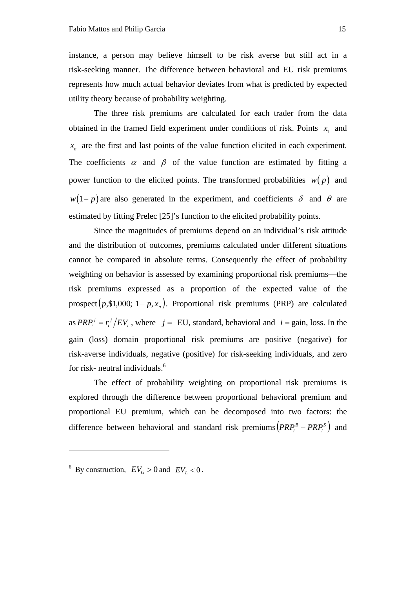instance, a person may believe himself to be risk averse but still act in a risk-seeking manner. The difference between behavioral and EU risk premiums represents how much actual behavior deviates from what is predicted by expected utility theory because of probability weighting.

The three risk premiums are calculated for each trader from the data obtained in the framed field experiment under conditions of risk. Points  $x_1$  and  $x_n$  are the first and last points of the value function elicited in each experiment. The coefficients  $\alpha$  and  $\beta$  of the value function are estimated by fitting a power function to the elicited points. The transformed probabilities  $w(p)$  and  $w(1-p)$  are also generated in the experiment, and coefficients  $\delta$  and  $\theta$  are estimated by fitting Prelec [25]'s function to the elicited probability points.

Since the magnitudes of premiums depend on an individual's risk attitude and the distribution of outcomes, premiums calculated under different situations cannot be compared in absolute terms. Consequently the effect of probability weighting on behavior is assessed by examining proportional risk premiums—the risk premiums expressed as a proportion of the expected value of the prospect  $(p, $1,000; 1-p, x_n)$ . Proportional risk premiums (PRP) are calculated as  $PRP_i^j = r_i^j / EV_i$  $PRP_i^j = r_i^j / EV_i$ , where *j* = EU, standard, behavioral and *i* = gain, loss. In the gain (loss) domain proportional risk premiums are positive (negative) for risk-averse individuals, negative (positive) for risk-seeking individuals, and zero for risk- neutral individuals.6

The effect of probability weighting on proportional risk premiums is explored through the difference between proportional behavioral premium and proportional EU premium, which can be decomposed into two factors: the difference between behavioral and standard risk premiums  $\left( PRP_i^B - PRP_i^S \right)$  and

<u>.</u>

<sup>&</sup>lt;sup>6</sup> By construction,  $EV_G > 0$  and  $EV_L < 0$ .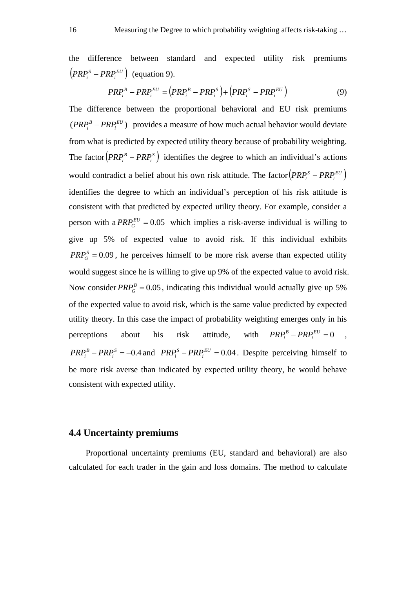the difference between standard and expected utility risk premiums  $\left(PRP_i^S - PRP_i^{EU}\right)$  (equation 9).

$$
PRP_i^B - PRP_i^{EU} = (PRP_i^B - PRP_i^S) + (PRP_i^S - PRP_i^{EU})
$$
\n
$$
(9)
$$

The difference between the proportional behavioral and EU risk premiums  $(PRP_i^B - PRP_i^{EU})$  provides a measure of how much actual behavior would deviate from what is predicted by expected utility theory because of probability weighting. The factor  $\left( PRP_i^B - PRP_i^S \right)$  identifies the degree to which an individual's actions would contradict a belief about his own risk attitude. The factor  $\left( PRP_i^S - PRP_i^{EU} \right)$ identifies the degree to which an individual's perception of his risk attitude is consistent with that predicted by expected utility theory. For example, consider a person with a  $PRP_G^{EU} = 0.05$  which implies a risk-averse individual is willing to give up 5% of expected value to avoid risk. If this individual exhibits  $PRP_G^S = 0.09$ , he perceives himself to be more risk averse than expected utility would suggest since he is willing to give up 9% of the expected value to avoid risk. Now consider  $PRP_G^B = 0.05$ , indicating this individual would actually give up 5% of the expected value to avoid risk, which is the same value predicted by expected utility theory. In this case the impact of probability weighting emerges only in his perceptions about his risk attitude, with  $PRP_i^B - PRP_i^{EU} = 0$ ,  $PRP_i^B - PRP_i^S = -0.4$  and  $PRP_i^S - PRP_i^{EU} = 0.04$ . Despite perceiving himself to be more risk averse than indicated by expected utility theory, he would behave consistent with expected utility.

#### **4.4 Uncertainty premiums**

Proportional uncertainty premiums (EU, standard and behavioral) are also calculated for each trader in the gain and loss domains. The method to calculate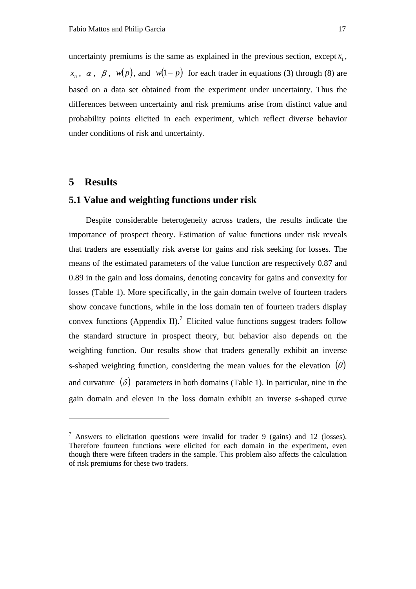uncertainty premiums is the same as explained in the previous section, except  $x_i$ ,  $x_1, \alpha, \beta, w(p)$ , and  $w(1-p)$  for each trader in equations (3) through (8) are based on a data set obtained from the experiment under uncertainty. Thus the differences between uncertainty and risk premiums arise from distinct value and probability points elicited in each experiment, which reflect diverse behavior under conditions of risk and uncertainty.

# **5 Results**

<u>.</u>

# **5.1 Value and weighting functions under risk**

Despite considerable heterogeneity across traders, the results indicate the importance of prospect theory. Estimation of value functions under risk reveals that traders are essentially risk averse for gains and risk seeking for losses. The means of the estimated parameters of the value function are respectively 0.87 and 0.89 in the gain and loss domains, denoting concavity for gains and convexity for losses (Table 1). More specifically, in the gain domain twelve of fourteen traders show concave functions, while in the loss domain ten of fourteen traders display convex functions (Appendix II).<sup>7</sup> Elicited value functions suggest traders follow the standard structure in prospect theory, but behavior also depends on the weighting function. Our results show that traders generally exhibit an inverse s-shaped weighting function, considering the mean values for the elevation  $(\theta)$ and curvature  $(\delta)$  parameters in both domains (Table 1). In particular, nine in the gain domain and eleven in the loss domain exhibit an inverse s-shaped curve

<sup>&</sup>lt;sup>7</sup> Answers to elicitation questions were invalid for trader 9 (gains) and 12 (losses). Therefore fourteen functions were elicited for each domain in the experiment, even though there were fifteen traders in the sample. This problem also affects the calculation of risk premiums for these two traders.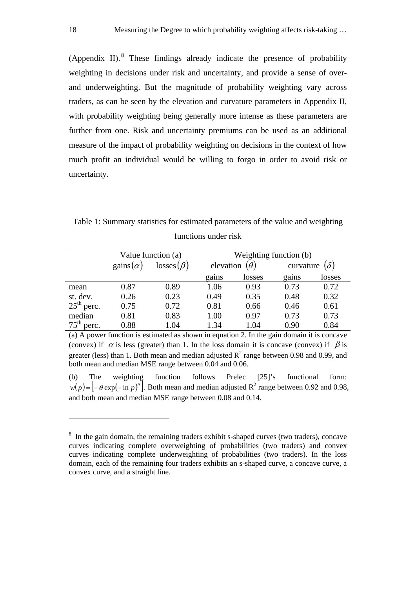(Appendix II). $8$  These findings already indicate the presence of probability weighting in decisions under risk and uncertainty, and provide a sense of overand underweighting. But the magnitude of probability weighting vary across traders, as can be seen by the elevation and curvature parameters in Appendix II, with probability weighting being generally more intense as these parameters are further from one. Risk and uncertainty premiums can be used as an additional measure of the impact of probability weighting on decisions in the context of how much profit an individual would be willing to forgo in order to avoid risk or uncertainty.

Table 1: Summary statistics for estimated parameters of the value and weighting functions under risk

|              |                        | Value function (a) | Weighting function (b) |                      |           |            |  |  |  |
|--------------|------------------------|--------------------|------------------------|----------------------|-----------|------------|--|--|--|
|              | $\text{gains}(\alpha)$ | $losses(\beta)$    |                        | elevation $(\theta)$ | curvature | $(\delta)$ |  |  |  |
|              |                        |                    | gains                  | losses               | gains     | losses     |  |  |  |
| mean         | 0.87                   | 0.89               | 1.06                   | 0.93                 | 0.73      | 0.72       |  |  |  |
| st. dev.     | 0.26                   | 0.23               | 0.49                   | 0.35                 | 0.48      | 0.32       |  |  |  |
| $25th$ perc. | 0.75                   | 0.72               | 0.81                   | 0.66                 | 0.46      | 0.61       |  |  |  |
| median       | 0.81                   | 0.83               | 1.00                   | 0.97                 | 0.73      | 0.73       |  |  |  |
| $75th$ perc. | 0.88                   | 1.04               | 1.34                   | 1.04                 | 0.90      | 0.84       |  |  |  |

(a) A power function is estimated as shown in equation 2. In the gain domain it is concave (convex) if  $\alpha$  is less (greater) than 1. In the loss domain it is concave (convex) if  $\beta$  is greater (less) than 1. Both mean and median adjusted  $R^2$  range between 0.98 and 0.99, and both mean and median MSE range between 0.04 and 0.06.

(b) The weighting function follows Prelec [25]'s functional form:  $w(p) = \left[-\theta \exp(-\ln p)^{\delta}\right]$ . Both mean and median adjusted R<sup>2</sup> range between 0.92 and 0.98, and both mean and median MSE range between 0.08 and 0.14.

<u>.</u>

<sup>&</sup>lt;sup>8</sup> In the gain domain, the remaining traders exhibit s-shaped curves (two traders), concave curves indicating complete overweighting of probabilities (two traders) and convex curves indicating complete underweighting of probabilities (two traders). In the loss domain, each of the remaining four traders exhibits an s-shaped curve, a concave curve, a convex curve, and a straight line.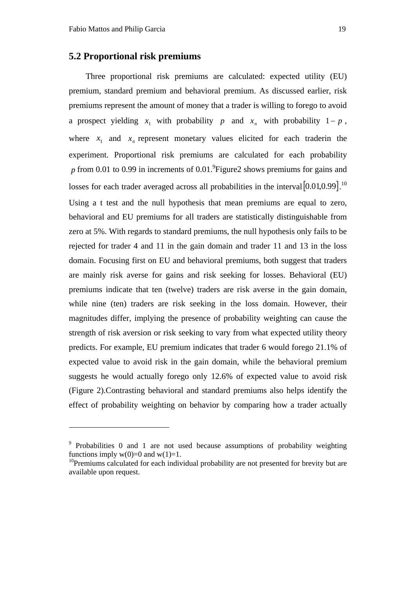1

#### **5.2 Proportional risk premiums**

Three proportional risk premiums are calculated: expected utility (EU) premium, standard premium and behavioral premium. As discussed earlier, risk premiums represent the amount of money that a trader is willing to forego to avoid a prospect yielding  $x_1$  with probability  $p$  and  $x_n$  with probability  $1 - p$ , where  $x_1$  and  $x_n$  represent monetary values elicited for each traderin the experiment. Proportional risk premiums are calculated for each probability  $p$  from 0.01 to 0.99 in increments of 0.01.<sup>9</sup> Figure2 shows premiums for gains and losses for each trader averaged across all probabilities in the interval  $[0.01, 0.99]$ .<sup>10</sup> Using a t test and the null hypothesis that mean premiums are equal to zero, behavioral and EU premiums for all traders are statistically distinguishable from zero at 5%. With regards to standard premiums, the null hypothesis only fails to be rejected for trader 4 and 11 in the gain domain and trader 11 and 13 in the loss domain. Focusing first on EU and behavioral premiums, both suggest that traders are mainly risk averse for gains and risk seeking for losses. Behavioral (EU) premiums indicate that ten (twelve) traders are risk averse in the gain domain, while nine (ten) traders are risk seeking in the loss domain. However, their magnitudes differ, implying the presence of probability weighting can cause the strength of risk aversion or risk seeking to vary from what expected utility theory predicts. For example, EU premium indicates that trader 6 would forego 21.1% of expected value to avoid risk in the gain domain, while the behavioral premium suggests he would actually forego only 12.6% of expected value to avoid risk (Figure 2).Contrasting behavioral and standard premiums also helps identify the effect of probability weighting on behavior by comparing how a trader actually

<sup>&</sup>lt;sup>9</sup> Probabilities 0 and 1 are not used because assumptions of probability weighting functions imply  $w(0)=0$  and  $w(1)=1$ .

<sup>&</sup>lt;sup>10</sup>Premiums calculated for each individual probability are not presented for brevity but are available upon request.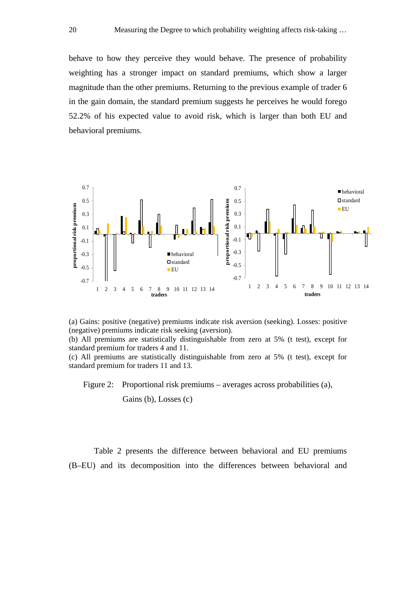behave to how they perceive they would behave. The presence of probability weighting has a stronger impact on standard premiums, which show a larger magnitude than the other premiums. Returning to the previous example of trader 6 in the gain domain, the standard premium suggests he perceives he would forego 52.2% of his expected value to avoid risk, which is larger than both EU and behavioral premiums.



(a) Gains: positive (negative) premiums indicate risk aversion (seeking). Losses: positive (negative) premiums indicate risk seeking (aversion).

(b) All premiums are statistically distinguishable from zero at 5% (t test), except for standard premium for traders 4 and 11.

(c) All premiums are statistically distinguishable from zero at 5% (t test), except for standard premium for traders 11 and 13.

Figure 2: Proportional risk premiums – averages across probabilities (a), Gains (b), Losses (c)

Table 2 presents the difference between behavioral and EU premiums (B–EU) and its decomposition into the differences between behavioral and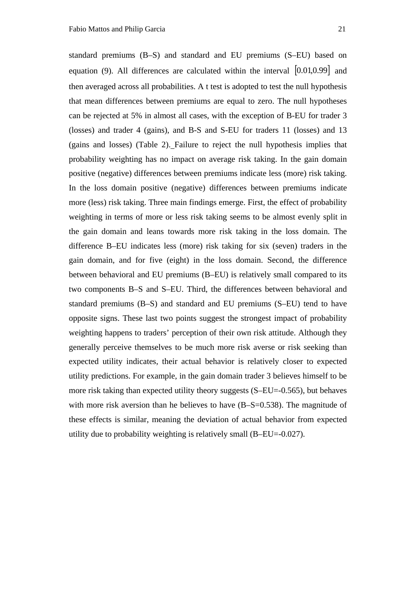standard premiums (B–S) and standard and EU premiums (S–EU) based on equation (9). All differences are calculated within the interval [0.01,0.99] and then averaged across all probabilities. A t test is adopted to test the null hypothesis that mean differences between premiums are equal to zero. The null hypotheses can be rejected at 5% in almost all cases, with the exception of B-EU for trader 3 (losses) and trader 4 (gains), and B-S and S-EU for traders 11 (losses) and 13 (gains and losses) (Table 2). Failure to reject the null hypothesis implies that probability weighting has no impact on average risk taking. In the gain domain positive (negative) differences between premiums indicate less (more) risk taking. In the loss domain positive (negative) differences between premiums indicate more (less) risk taking. Three main findings emerge. First, the effect of probability weighting in terms of more or less risk taking seems to be almost evenly split in the gain domain and leans towards more risk taking in the loss domain. The difference B–EU indicates less (more) risk taking for six (seven) traders in the gain domain, and for five (eight) in the loss domain. Second, the difference between behavioral and EU premiums (B–EU) is relatively small compared to its two components B–S and S–EU. Third, the differences between behavioral and standard premiums (B–S) and standard and EU premiums (S–EU) tend to have opposite signs. These last two points suggest the strongest impact of probability weighting happens to traders' perception of their own risk attitude. Although they generally perceive themselves to be much more risk averse or risk seeking than expected utility indicates, their actual behavior is relatively closer to expected utility predictions. For example, in the gain domain trader 3 believes himself to be more risk taking than expected utility theory suggests (S–EU=-0.565), but behaves with more risk aversion than he believes to have (B–S=0.538). The magnitude of these effects is similar, meaning the deviation of actual behavior from expected utility due to probability weighting is relatively small (B–EU=-0.027).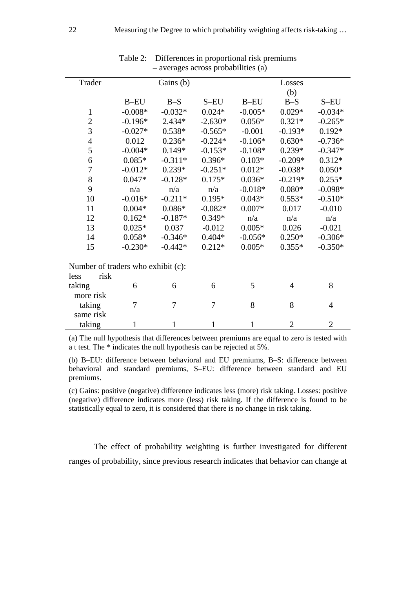| $-$ averages across probabilities (a) |                |                |              |           |                       |                |  |  |  |  |
|---------------------------------------|----------------|----------------|--------------|-----------|-----------------------|----------------|--|--|--|--|
| Trader                                |                | Gains (b)      | Losses       |           |                       |                |  |  |  |  |
|                                       |                |                |              |           | (b)                   |                |  |  |  |  |
|                                       | $B$ -EU        | $B-S$          | S-EU         | $B$ -EU   | $B-S$                 | S-EU           |  |  |  |  |
| $\mathbf{1}$                          | $-0.008*$      | $-0.032*$      | $0.024*$     | $-0.005*$ | $0.029*$              | $-0.034*$      |  |  |  |  |
| $\overline{c}$                        | $-0.196*$      | $2.434*$       | $-2.630*$    | $0.321*$  | $-0.265*$             |                |  |  |  |  |
| $\overline{3}$                        | $-0.027*$      | $0.538*$       | $-0.565*$    | $-0.001$  | $-0.193*$<br>$0.192*$ |                |  |  |  |  |
| $\overline{4}$                        | 0.012          | $0.236*$       | $-0.224*$    | $-0.106*$ | $0.630*$              | $-0.736*$      |  |  |  |  |
| 5                                     | $-0.004*$      | $0.149*$       | $-0.153*$    | $-0.108*$ | $0.239*$              | $-0.347*$      |  |  |  |  |
| 6                                     | $0.085*$       | $-0.311*$      | $0.396*$     | $0.103*$  | $-0.209*$             | $0.312*$       |  |  |  |  |
| $\overline{7}$                        | $-0.012*$      | $0.239*$       | $-0.251*$    | $0.012*$  | $-0.038*$             | $0.050*$       |  |  |  |  |
| 8                                     | $0.047*$       | $-0.128*$      | $0.175*$     | $0.036*$  | $-0.219*$             | $0.255*$       |  |  |  |  |
| 9                                     | n/a            | n/a            | n/a          | $-0.018*$ | $0.080*$              | $-0.098*$      |  |  |  |  |
| 10                                    | $-0.016*$      | $-0.211*$      | $0.195*$     | $0.043*$  | $0.553*$              | $-0.510*$      |  |  |  |  |
| 11<br>$0.004*$                        |                | $0.086*$       | $-0.082*$    | $0.007*$  | 0.017                 | $-0.010$       |  |  |  |  |
| 12                                    | $0.162*$       | $-0.187*$      | $0.349*$     | n/a       | n/a                   | n/a            |  |  |  |  |
| 13                                    | $0.025*$       | 0.037          | $-0.012$     | $0.005*$  | 0.026                 | $-0.021$       |  |  |  |  |
| 14                                    | $0.058*$       | $-0.346*$      | $0.404*$     | $-0.056*$ | $0.250*$              | $-0.306*$      |  |  |  |  |
| 15                                    | $-0.230*$      | $-0.442*$      | $0.212*$     | $0.005*$  | $0.355*$              | $-0.350*$      |  |  |  |  |
|                                       |                |                |              |           |                       |                |  |  |  |  |
| Number of traders who exhibit (c):    |                |                |              |           |                       |                |  |  |  |  |
| risk<br>less                          |                |                |              |           |                       |                |  |  |  |  |
| taking<br>6                           |                | 6              | 6            | 5         | $\overline{4}$        | 8              |  |  |  |  |
| more risk                             |                |                |              |           |                       |                |  |  |  |  |
| taking                                | $\overline{7}$ | $\overline{7}$ | 7            | 8         | 8                     | $\overline{4}$ |  |  |  |  |
| same risk                             |                |                |              |           |                       |                |  |  |  |  |
| taking                                | $\mathbf 1$    | $\mathbf{1}$   | $\mathbf{1}$ | 1         | $\overline{2}$        | $\overline{2}$ |  |  |  |  |

Table 2: Differences in proportional risk premiums – averages across probabilities (a)

(a) The null hypothesis that differences between premiums are equal to zero is tested with a t test. The \* indicates the null hypothesis can be rejected at 5%.

(b) B–EU: difference between behavioral and EU premiums, B–S: difference between behavioral and standard premiums, S–EU: difference between standard and EU premiums.

(c) Gains: positive (negative) difference indicates less (more) risk taking. Losses: positive (negative) difference indicates more (less) risk taking. If the difference is found to be statistically equal to zero, it is considered that there is no change in risk taking.

The effect of probability weighting is further investigated for different ranges of probability, since previous research indicates that behavior can change at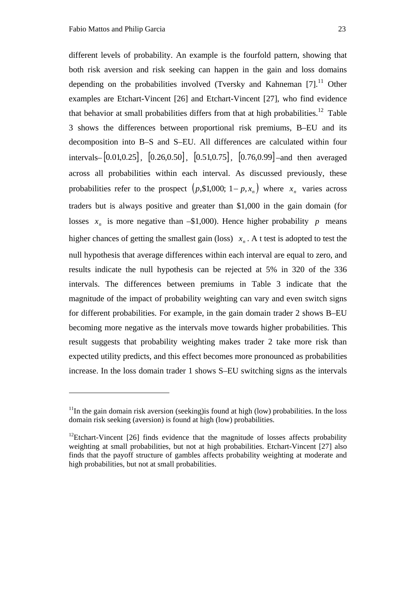<u>.</u>

different levels of probability. An example is the fourfold pattern, showing that both risk aversion and risk seeking can happen in the gain and loss domains depending on the probabilities involved (Tversky and Kahneman  $[7]$ <sup>11</sup> Other examples are Etchart-Vincent [26] and Etchart-Vincent [27], who find evidence that behavior at small probabilities differs from that at high probabilities.<sup>12</sup> Table 3 shows the differences between proportional risk premiums, B–EU and its decomposition into B–S and S–EU. All differences are calculated within four intervals–  $[0.01, 0.25]$ ,  $[0.26, 0.50]$ ,  $[0.51, 0.75]$ ,  $[0.76, 0.99]$  –and then averaged across all probabilities within each interval. As discussed previously, these probabilities refer to the prospect  $(p,\$1,000; 1-p, x_n)$  where  $x_n$  varies across traders but is always positive and greater than \$1,000 in the gain domain (for losses  $x_n$  is more negative than –\$1,000). Hence higher probability *p* means higher chances of getting the smallest gain (loss)  $x_n$ . A t test is adopted to test the null hypothesis that average differences within each interval are equal to zero, and results indicate the null hypothesis can be rejected at 5% in 320 of the 336 intervals. The differences between premiums in Table 3 indicate that the magnitude of the impact of probability weighting can vary and even switch signs for different probabilities. For example, in the gain domain trader 2 shows B–EU becoming more negative as the intervals move towards higher probabilities. This result suggests that probability weighting makes trader 2 take more risk than expected utility predicts, and this effect becomes more pronounced as probabilities increase. In the loss domain trader 1 shows S–EU switching signs as the intervals

 $11$ In the gain domain risk aversion (seeking) is found at high (low) probabilities. In the loss domain risk seeking (aversion) is found at high (low) probabilities.

 $12$ Etchart-Vincent [26] finds evidence that the magnitude of losses affects probability weighting at small probabilities, but not at high probabilities. Etchart-Vincent [27] also finds that the payoff structure of gambles affects probability weighting at moderate and high probabilities, but not at small probabilities.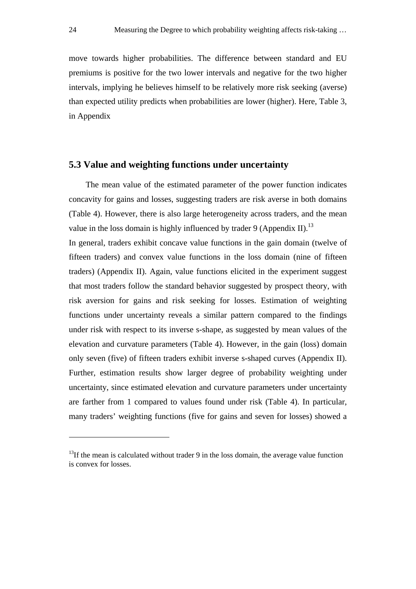move towards higher probabilities. The difference between standard and EU premiums is positive for the two lower intervals and negative for the two higher intervals, implying he believes himself to be relatively more risk seeking (averse) than expected utility predicts when probabilities are lower (higher). Here, Table 3, in Appendix

## **5.3 Value and weighting functions under uncertainty**

The mean value of the estimated parameter of the power function indicates concavity for gains and losses, suggesting traders are risk averse in both domains (Table 4). However, there is also large heterogeneity across traders, and the mean value in the loss domain is highly influenced by trader 9 (Appendix II).<sup>13</sup>

In general, traders exhibit concave value functions in the gain domain (twelve of fifteen traders) and convex value functions in the loss domain (nine of fifteen traders) (Appendix II). Again, value functions elicited in the experiment suggest that most traders follow the standard behavior suggested by prospect theory, with risk aversion for gains and risk seeking for losses. Estimation of weighting functions under uncertainty reveals a similar pattern compared to the findings under risk with respect to its inverse s-shape, as suggested by mean values of the elevation and curvature parameters (Table 4). However, in the gain (loss) domain only seven (five) of fifteen traders exhibit inverse s-shaped curves (Appendix II). Further, estimation results show larger degree of probability weighting under uncertainty, since estimated elevation and curvature parameters under uncertainty are farther from 1 compared to values found under risk (Table 4). In particular, many traders' weighting functions (five for gains and seven for losses) showed a

1

 $13$ If the mean is calculated without trader 9 in the loss domain, the average value function is convex for losses.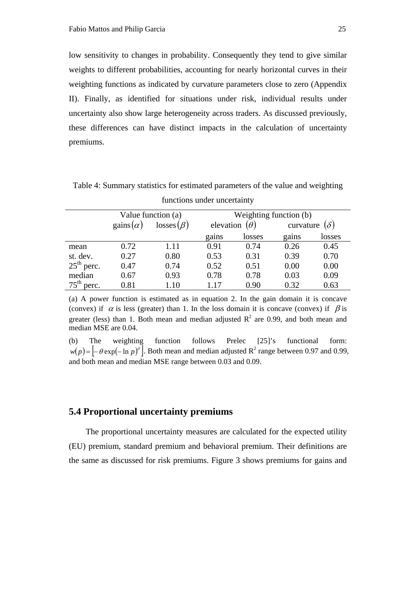low sensitivity to changes in probability. Consequently they tend to give similar weights to different probabilities, accounting for nearly horizontal curves in their weighting functions as indicated by curvature parameters close to zero (Appendix II). Finally, as identified for situations under risk, individual results under uncertainty also show large heterogeneity across traders. As discussed previously, these differences can have distinct impacts in the calculation of uncertainty premiums.

|                           |                                     | Value function (a) | Weighting function (b) |                      |                         |        |  |  |  |
|---------------------------|-------------------------------------|--------------------|------------------------|----------------------|-------------------------|--------|--|--|--|
|                           | gains $(\alpha)$<br>$losses(\beta)$ |                    |                        | elevation $(\theta)$ | $(\delta)$<br>curvature |        |  |  |  |
|                           |                                     |                    | gains                  | losses               | gains                   | losses |  |  |  |
| mean                      | 0.72                                | 1.11               | 0.91                   | 0.74                 | 0.26                    | 0.45   |  |  |  |
| st. dev.                  | 0.27                                | 0.80               | 0.53                   | 0.31                 | 0.39                    | 0.70   |  |  |  |
| $25th$ perc.              | 0.47                                | 0.74               | 0.52                   | 0.51                 | 0.00                    | 0.00   |  |  |  |
| median                    | 0.67                                | 0.93               | 0.78                   | 0.78                 | 0.03                    | 0.09   |  |  |  |
| $75^{\text{th}}$<br>perc. | 0.81                                | 1.10               | 1.17                   | 0.90                 | 0.32                    | 0.63   |  |  |  |

Table 4: Summary statistics for estimated parameters of the value and weighting functions under uncertainty

(a) A power function is estimated as in equation 2. In the gain domain it is concave (convex) if  $\alpha$  is less (greater) than 1. In the loss domain it is concave (convex) if  $\beta$  is greater (less) than 1. Both mean and median adjusted  $R^2$  are 0.99, and both mean and median MSE are 0.04.

(b) The weighting function follows Prelec [25]'s functional form:  $w(p) = \left[-\theta \exp(-\ln p)^{\delta}\right]$ . Both mean and median adjusted R<sup>2</sup> range between 0.97 and 0.99, and both mean and median MSE range between 0.03 and 0.09.

#### **5.4 Proportional uncertainty premiums**

The proportional uncertainty measures are calculated for the expected utility (EU) premium, standard premium and behavioral premium. Their definitions are the same as discussed for risk premiums. Figure 3 shows premiums for gains and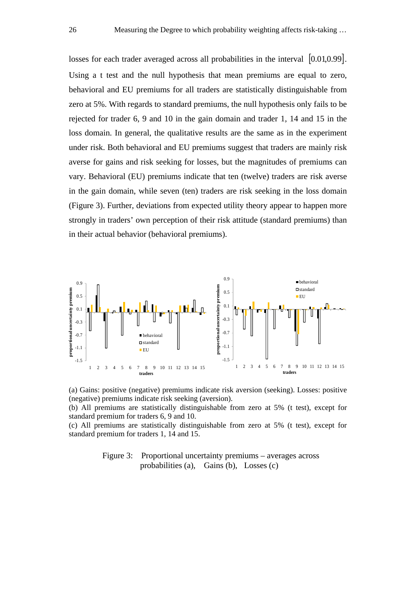losses for each trader averaged across all probabilities in the interval [0.01,0.99]. Using a t test and the null hypothesis that mean premiums are equal to zero, behavioral and EU premiums for all traders are statistically distinguishable from zero at 5%. With regards to standard premiums, the null hypothesis only fails to be rejected for trader 6, 9 and 10 in the gain domain and trader 1, 14 and 15 in the loss domain. In general, the qualitative results are the same as in the experiment under risk. Both behavioral and EU premiums suggest that traders are mainly risk averse for gains and risk seeking for losses, but the magnitudes of premiums can vary. Behavioral (EU) premiums indicate that ten (twelve) traders are risk averse in the gain domain, while seven (ten) traders are risk seeking in the loss domain (Figure 3). Further, deviations from expected utility theory appear to happen more strongly in traders' own perception of their risk attitude (standard premiums) than in their actual behavior (behavioral premiums).





(b) All premiums are statistically distinguishable from zero at 5% (t test), except for standard premium for traders 6, 9 and 10.

(c) All premiums are statistically distinguishable from zero at 5% (t test), except for standard premium for traders 1, 14 and 15.

> Figure 3: Proportional uncertainty premiums – averages across probabilities (a), Gains (b), Losses (c)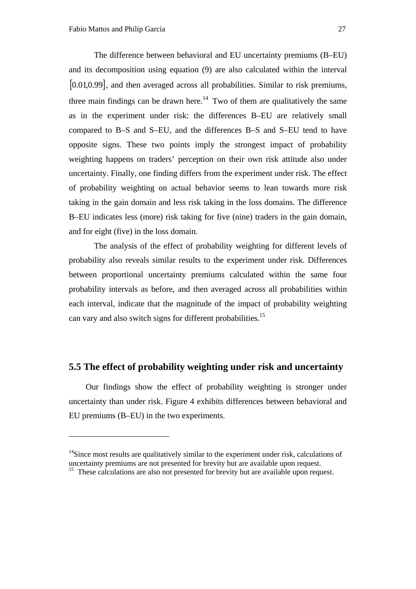1

The difference between behavioral and EU uncertainty premiums (B–EU) and its decomposition using equation (9) are also calculated within the interval [0.01,0.99], and then averaged across all probabilities. Similar to risk premiums, three main findings can be drawn here.<sup>14</sup> Two of them are qualitatively the same as in the experiment under risk: the differences B–EU are relatively small compared to B–S and S–EU, and the differences B–S and S–EU tend to have opposite signs. These two points imply the strongest impact of probability weighting happens on traders' perception on their own risk attitude also under uncertainty. Finally, one finding differs from the experiment under risk. The effect of probability weighting on actual behavior seems to lean towards more risk taking in the gain domain and less risk taking in the loss domains. The difference B–EU indicates less (more) risk taking for five (nine) traders in the gain domain, and for eight (five) in the loss domain.

The analysis of the effect of probability weighting for different levels of probability also reveals similar results to the experiment under risk. Differences between proportional uncertainty premiums calculated within the same four probability intervals as before, and then averaged across all probabilities within each interval, indicate that the magnitude of the impact of probability weighting can vary and also switch signs for different probabilities.15

# **5.5 The effect of probability weighting under risk and uncertainty**

Our findings show the effect of probability weighting is stronger under uncertainty than under risk. Figure 4 exhibits differences between behavioral and EU premiums (B–EU) in the two experiments.

 $14$ Since most results are qualitatively similar to the experiment under risk, calculations of uncertainty premiums are not presented for brevity but are available upon request.

<sup>&</sup>lt;sup>15</sup> These calculations are also not presented for brevity but are available upon request.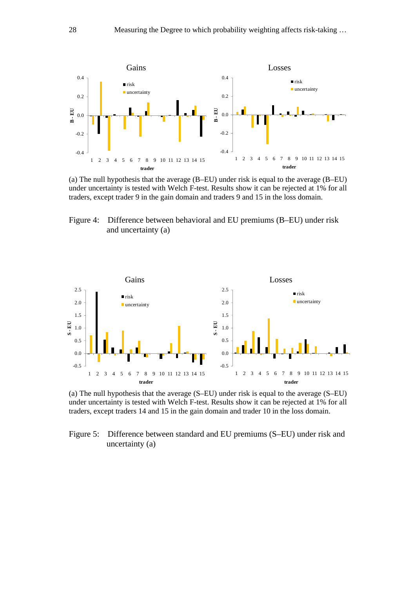

(a) The null hypothesis that the average (B–EU) under risk is equal to the average (B–EU) under uncertainty is tested with Welch F-test. Results show it can be rejected at 1% for all traders, except trader 9 in the gain domain and traders 9 and 15 in the loss domain.

Figure 4: Difference between behavioral and EU premiums (B–EU) under risk and uncertainty (a)



(a) The null hypothesis that the average (S–EU) under risk is equal to the average (S–EU) under uncertainty is tested with Welch F-test. Results show it can be rejected at 1% for all traders, except traders 14 and 15 in the gain domain and trader 10 in the loss domain.

Figure 5: Difference between standard and EU premiums (S–EU) under risk and uncertainty (a)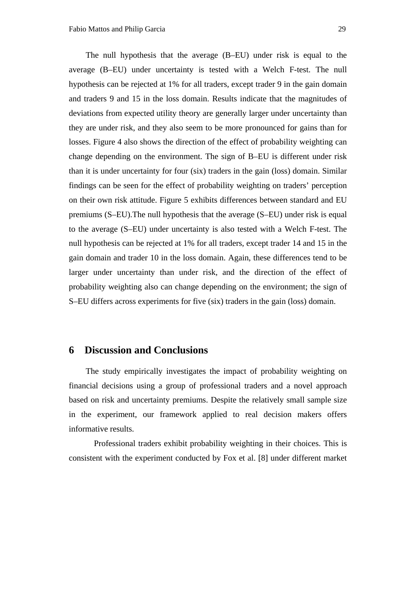The null hypothesis that the average (B–EU) under risk is equal to the average (B–EU) under uncertainty is tested with a Welch F-test. The null hypothesis can be rejected at 1% for all traders, except trader 9 in the gain domain and traders 9 and 15 in the loss domain. Results indicate that the magnitudes of deviations from expected utility theory are generally larger under uncertainty than they are under risk, and they also seem to be more pronounced for gains than for losses. Figure 4 also shows the direction of the effect of probability weighting can change depending on the environment. The sign of B–EU is different under risk than it is under uncertainty for four (six) traders in the gain (loss) domain. Similar findings can be seen for the effect of probability weighting on traders' perception on their own risk attitude. Figure 5 exhibits differences between standard and EU premiums (S–EU).The null hypothesis that the average (S–EU) under risk is equal to the average (S–EU) under uncertainty is also tested with a Welch F-test. The null hypothesis can be rejected at 1% for all traders, except trader 14 and 15 in the gain domain and trader 10 in the loss domain. Again, these differences tend to be larger under uncertainty than under risk, and the direction of the effect of probability weighting also can change depending on the environment; the sign of S–EU differs across experiments for five (six) traders in the gain (loss) domain.

# **6 Discussion and Conclusions**

The study empirically investigates the impact of probability weighting on financial decisions using a group of professional traders and a novel approach based on risk and uncertainty premiums. Despite the relatively small sample size in the experiment, our framework applied to real decision makers offers informative results.

Professional traders exhibit probability weighting in their choices. This is consistent with the experiment conducted by Fox et al. [8] under different market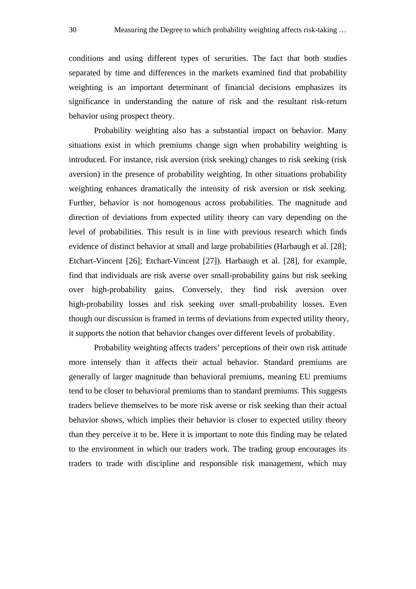conditions and using different types of securities. The fact that both studies separated by time and differences in the markets examined find that probability weighting is an important determinant of financial decisions emphasizes its significance in understanding the nature of risk and the resultant risk-return behavior using prospect theory.

Probability weighting also has a substantial impact on behavior. Many situations exist in which premiums change sign when probability weighting is introduced. For instance, risk aversion (risk seeking) changes to risk seeking (risk aversion) in the presence of probability weighting. In other situations probability weighting enhances dramatically the intensity of risk aversion or risk seeking. Further, behavior is not homogenous across probabilities. The magnitude and direction of deviations from expected utility theory can vary depending on the level of probabilities. This result is in line with previous research which finds evidence of distinct behavior at small and large probabilities (Harbaugh et al. [28]; Etchart-Vincent [26]; Etchart-Vincent [27]). Harbaugh et al. [28], for example, find that individuals are risk averse over small-probability gains but risk seeking over high-probability gains. Conversely, they find risk aversion over high-probability losses and risk seeking over small-probability losses. Even though our discussion is framed in terms of deviations from expected utility theory, it supports the notion that behavior changes over different levels of probability.

Probability weighting affects traders' perceptions of their own risk attitude more intensely than it affects their actual behavior. Standard premiums are generally of larger magnitude than behavioral premiums, meaning EU premiums tend to be closer to behavioral premiums than to standard premiums. This suggests traders believe themselves to be more risk averse or risk seeking than their actual behavior shows, which implies their behavior is closer to expected utility theory than they perceive it to be. Here it is important to note this finding may be related to the environment in which our traders work. The trading group encourages its traders to trade with discipline and responsible risk management, which may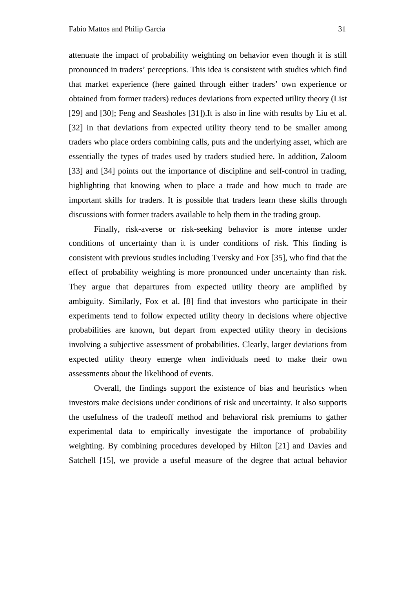attenuate the impact of probability weighting on behavior even though it is still pronounced in traders' perceptions. This idea is consistent with studies which find that market experience (here gained through either traders' own experience or obtained from former traders) reduces deviations from expected utility theory (List [29] and [30]; Feng and Seasholes [31]). It is also in line with results by Liu et al. [32] in that deviations from expected utility theory tend to be smaller among traders who place orders combining calls, puts and the underlying asset, which are essentially the types of trades used by traders studied here. In addition, Zaloom [33] and [34] points out the importance of discipline and self-control in trading, highlighting that knowing when to place a trade and how much to trade are important skills for traders. It is possible that traders learn these skills through discussions with former traders available to help them in the trading group.

Finally, risk-averse or risk-seeking behavior is more intense under conditions of uncertainty than it is under conditions of risk. This finding is consistent with previous studies including Tversky and Fox [35], who find that the effect of probability weighting is more pronounced under uncertainty than risk. They argue that departures from expected utility theory are amplified by ambiguity. Similarly, Fox et al. [8] find that investors who participate in their experiments tend to follow expected utility theory in decisions where objective probabilities are known, but depart from expected utility theory in decisions involving a subjective assessment of probabilities. Clearly, larger deviations from expected utility theory emerge when individuals need to make their own assessments about the likelihood of events.

Overall, the findings support the existence of bias and heuristics when investors make decisions under conditions of risk and uncertainty. It also supports the usefulness of the tradeoff method and behavioral risk premiums to gather experimental data to empirically investigate the importance of probability weighting. By combining procedures developed by Hilton [21] and Davies and Satchell [15], we provide a useful measure of the degree that actual behavior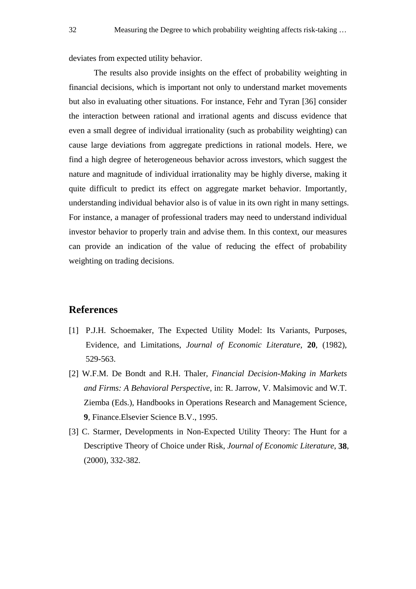deviates from expected utility behavior.

The results also provide insights on the effect of probability weighting in financial decisions, which is important not only to understand market movements but also in evaluating other situations. For instance, Fehr and Tyran [36] consider the interaction between rational and irrational agents and discuss evidence that even a small degree of individual irrationality (such as probability weighting) can cause large deviations from aggregate predictions in rational models. Here, we find a high degree of heterogeneous behavior across investors, which suggest the nature and magnitude of individual irrationality may be highly diverse, making it quite difficult to predict its effect on aggregate market behavior. Importantly, understanding individual behavior also is of value in its own right in many settings. For instance, a manager of professional traders may need to understand individual investor behavior to properly train and advise them. In this context, our measures can provide an indication of the value of reducing the effect of probability weighting on trading decisions.

# **References**

- [1] P.J.H. Schoemaker, The Expected Utility Model: Its Variants, Purposes, Evidence, and Limitations, *Journal of Economic Literature*, **20**, (1982), 529-563.
- [2] W.F.M. De Bondt and R.H. Thaler, *Financial Decision-Making in Markets and Firms: A Behavioral Perspective*, in: R. Jarrow, V. Malsimovic and W.T. Ziemba (Eds.), Handbooks in Operations Research and Management Science, **9**, Finance.Elsevier Science B.V., 1995.
- [3] C. Starmer, Developments in Non-Expected Utility Theory: The Hunt for a Descriptive Theory of Choice under Risk, *Journal of Economic Literature*, **38**, (2000), 332-382.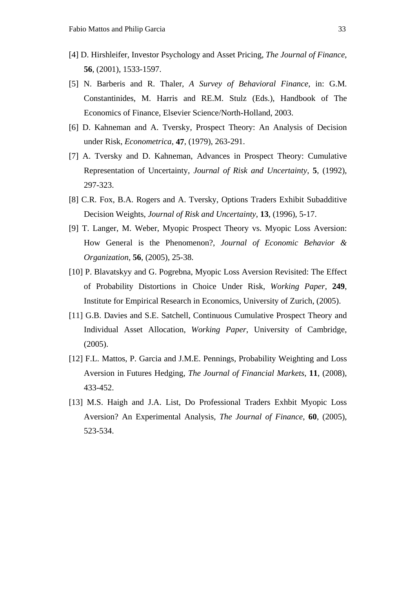- [4] D. Hirshleifer, Investor Psychology and Asset Pricing, *The Journal of Finance*, **56**, (2001), 1533-1597.
- [5] N. Barberis and R. Thaler, *A Survey of Behavioral Finance*, in: G.M. Constantinides, M. Harris and RE.M. Stulz (Eds.), Handbook of The Economics of Finance, Elsevier Science/North-Holland, 2003.
- [6] D. Kahneman and A. Tversky, Prospect Theory: An Analysis of Decision under Risk, *Econometrica*, **47**, (1979), 263-291.
- [7] A. Tversky and D. Kahneman, Advances in Prospect Theory: Cumulative Representation of Uncertainty, *Journal of Risk and Uncertainty*, **5**, (1992), 297-323.
- [8] C.R. Fox, B.A. Rogers and A. Tversky, Options Traders Exhibit Subadditive Decision Weights, *Journal of Risk and Uncertainty*, **13**, (1996), 5-17.
- [9] T. Langer, M. Weber, Myopic Prospect Theory vs. Myopic Loss Aversion: How General is the Phenomenon?, *Journal of Economic Behavior & Organization*, **56**, (2005), 25-38.
- [10] P. Blavatskyy and G. Pogrebna, Myopic Loss Aversion Revisited: The Effect of Probability Distortions in Choice Under Risk, *Working Paper*, **249**, Institute for Empirical Research in Economics, University of Zurich, (2005).
- [11] G.B. Davies and S.E. Satchell, Continuous Cumulative Prospect Theory and Individual Asset Allocation, *Working Paper*, University of Cambridge, (2005).
- [12] F.L. Mattos, P. Garcia and J.M.E. Pennings, Probability Weighting and Loss Aversion in Futures Hedging, *The Journal of Financial Markets*, **11**, (2008), 433-452.
- [13] M.S. Haigh and J.A. List, Do Professional Traders Exhbit Myopic Loss Aversion? An Experimental Analysis, *The Journal of Finance*, **60**, (2005), 523-534.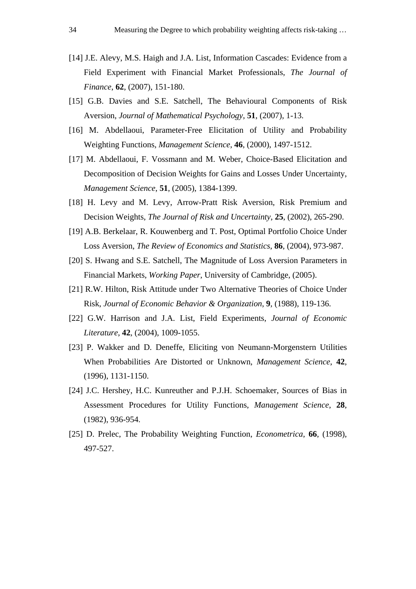- [14] J.E. Alevy, M.S. Haigh and J.A. List, Information Cascades: Evidence from a Field Experiment with Financial Market Professionals, *The Journal of Finance*, **62**, (2007), 151-180.
- [15] G.B. Davies and S.E. Satchell, The Behavioural Components of Risk Aversion, *Journal of Mathematical Psychology*, **51**, (2007), 1-13.
- [16] M. Abdellaoui, Parameter-Free Elicitation of Utility and Probability Weighting Functions, *Management Science*, **46**, (2000), 1497-1512.
- [17] M. Abdellaoui, F. Vossmann and M. Weber, Choice-Based Elicitation and Decomposition of Decision Weights for Gains and Losses Under Uncertainty, *Management Science*, **51**, (2005), 1384-1399.
- [18] H. Levy and M. Levy, Arrow-Pratt Risk Aversion, Risk Premium and Decision Weights, *The Journal of Risk and Uncertainty*, **25**, (2002), 265-290.
- [19] A.B. Berkelaar, R. Kouwenberg and T. Post, Optimal Portfolio Choice Under Loss Aversion, *The Review of Economics and Statistics*, **86**, (2004), 973-987.
- [20] S. Hwang and S.E. Satchell, The Magnitude of Loss Aversion Parameters in Financial Markets, *Working Paper*, University of Cambridge, (2005).
- [21] R.W. Hilton, Risk Attitude under Two Alternative Theories of Choice Under Risk, *Journal of Economic Behavior & Organization*, **9**, (1988), 119-136.
- [22] G.W. Harrison and J.A. List, Field Experiments, *Journal of Economic Literature*, **42**, (2004), 1009-1055.
- [23] P. Wakker and D. Deneffe, Eliciting von Neumann-Morgenstern Utilities When Probabilities Are Distorted or Unknown, *Management Science*, **42**, (1996), 1131-1150.
- [24] J.C. Hershey, H.C. Kunreuther and P.J.H. Schoemaker, Sources of Bias in Assessment Procedures for Utility Functions, *Management Science*, **28**, (1982), 936-954.
- [25] D. Prelec, The Probability Weighting Function, *Econometrica*, **66**, (1998), 497-527.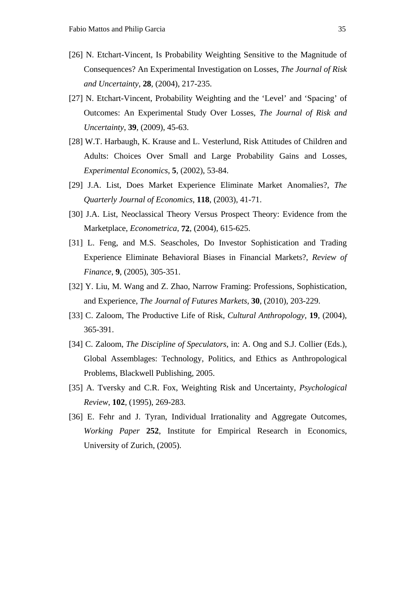- [26] N. Etchart-Vincent, Is Probability Weighting Sensitive to the Magnitude of Consequences? An Experimental Investigation on Losses, *The Journal of Risk and Uncertainty*, **28**, (2004), 217-235.
- [27] N. Etchart-Vincent, Probability Weighting and the 'Level' and 'Spacing' of Outcomes: An Experimental Study Over Losses, *The Journal of Risk and Uncertainty*, **39**, (2009), 45-63.
- [28] W.T. Harbaugh, K. Krause and L. Vesterlund, Risk Attitudes of Children and Adults: Choices Over Small and Large Probability Gains and Losses, *Experimental Economics*, **5**, (2002), 53-84.
- [29] J.A. List, Does Market Experience Eliminate Market Anomalies?, *The Quarterly Journal of Economics*, **118**, (2003), 41-71.
- [30] J.A. List, Neoclassical Theory Versus Prospect Theory: Evidence from the Marketplace, *Econometrica*, **72**, (2004), 615-625.
- [31] L. Feng, and M.S. Seascholes, Do Investor Sophistication and Trading Experience Eliminate Behavioral Biases in Financial Markets?, *Review of Finance*, **9**, (2005), 305-351.
- [32] Y. Liu, M. Wang and Z. Zhao, Narrow Framing: Professions, Sophistication, and Experience, *The Journal of Futures Markets*, **30**, (2010), 203-229.
- [33] C. Zaloom, The Productive Life of Risk, *Cultural Anthropology*, **19**, (2004), 365-391.
- [34] C. Zaloom, *The Discipline of Speculators*, in: A. Ong and S.J. Collier (Eds.), Global Assemblages: Technology, Politics, and Ethics as Anthropological Problems, Blackwell Publishing, 2005.
- [35] A. Tversky and C.R. Fox, Weighting Risk and Uncertainty, *Psychological Review*, **102**, (1995), 269-283.
- [36] E. Fehr and J. Tyran, Individual Irrationality and Aggregate Outcomes, *Working Paper* **252**, Institute for Empirical Research in Economics, University of Zurich, (2005).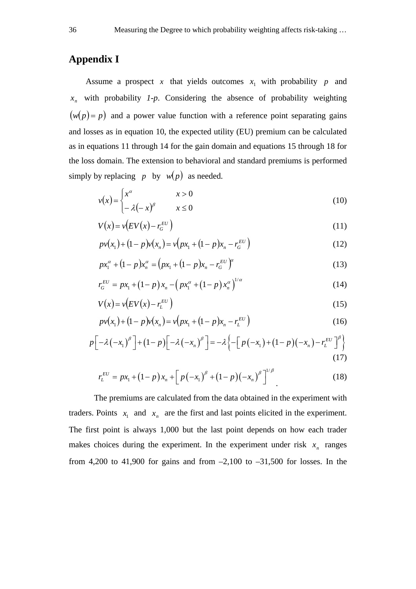# **Appendix I**

Assume a prospect  $x$  that yields outcomes  $x_1$  with probability  $p$  and  $x_n$  with probability  $1-p$ . Considering the absence of probability weighting  $(w(p) = p)$  and a power value function with a reference point separating gains and losses as in equation 10, the expected utility (EU) premium can be calculated as in equations 11 through 14 for the gain domain and equations 15 through 18 for the loss domain. The extension to behavioral and standard premiums is performed simply by replacing *p* by  $w(p)$  as needed.

$$
v(x) = \begin{cases} x^{\alpha} & x > 0 \\ -\lambda(-x)^{\beta} & x \le 0 \end{cases}
$$
 (10)

$$
V(x) = v\left(EV(x) - r_G^{EU}\right) \tag{11}
$$

$$
p v(x_1) + (1 - p) v(x_n) = v\left(p x_1 + (1 - p) x_n - r_G^{EU}\right)
$$
\n(12)

$$
px_1^{\alpha} + (1-p)x_n^{\alpha} = (px_1 + (1-p)x_n - r_G^{EU})^{\alpha}
$$
\n(13)

$$
r_G^{EU} = px_1 + (1-p)x_n - (px_1^{\alpha} + (1-p)x_n^{\alpha})^{1/\alpha}
$$
 (14)

$$
V(x) = v(EV(x) - r_L^{EU})
$$
\n(15)

$$
p v(x_1) + (1 - p) v(x_n) = v\big(p x_1 + (1 - p) x_n - r_L^{EU}\big) \tag{16}
$$

$$
p\left[-\lambda\left(-x_{1}\right)^{\beta}\right]+\left(1-p\right)\left[-\lambda\left(-x_{n}\right)^{\beta}\right]=-\lambda\left\{-\left[p\left(-x_{1}\right)+\left(1-p\right)\left(-x_{n}\right)-r_{L}^{EU}\right]^{\beta}\right\}\tag{17}
$$

$$
r_L^{EU} = px_1 + (1-p)x_n + \left[p(-x_1)^{\beta} + (1-p)(-x_n)^{\beta}\right]^{1/\beta}.
$$
 (18)

The premiums are calculated from the data obtained in the experiment with traders. Points  $x_1$  and  $x_n$  are the first and last points elicited in the experiment. The first point is always 1,000 but the last point depends on how each trader makes choices during the experiment. In the experiment under risk  $x_n$  ranges from 4,200 to 41,900 for gains and from  $-2,100$  to  $-31,500$  for losses. In the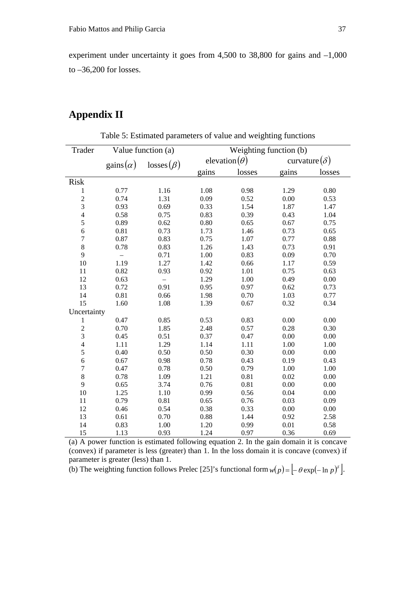experiment under uncertainty it goes from 4,500 to 38,800 for gains and –1,000 to –36,200 for losses.

# **Appendix II**

| Trader                  |                  | Value function (a) | Weighting function (b) |                       |       |                      |  |  |
|-------------------------|------------------|--------------------|------------------------|-----------------------|-------|----------------------|--|--|
|                         | gains $(\alpha)$ | $losses(\beta)$    |                        | elevation( $\theta$ ) |       | curvature $(\delta)$ |  |  |
|                         |                  |                    | gains                  | losses                | gains | losses               |  |  |
| <b>Risk</b>             |                  |                    |                        |                       |       |                      |  |  |
| $\mathbf{1}$            | 0.77             | 1.16               | 1.08                   | 0.98                  | 1.29  | 0.80                 |  |  |
| $\overline{\mathbf{c}}$ | 0.74             | 1.31               | 0.00<br>0.09<br>0.52   |                       |       | 0.53                 |  |  |
| 3                       | 0.93             | 0.69               | 0.33                   | 1.54<br>1.87          |       | 1.47                 |  |  |
| $\overline{4}$          | 0.58             | 0.75               | 0.83                   | 0.39                  | 0.43  | 1.04                 |  |  |
| 5                       | 0.89             | 0.62               | 0.80                   | 0.65                  | 0.67  | 0.75                 |  |  |
| $\boldsymbol{6}$        | 0.81             | 0.73               | 1.73                   | 1.46                  | 0.73  | 0.65                 |  |  |
| $\overline{7}$          | 0.87             | 0.83               | 0.75                   | 1.07                  | 0.77  | 0.88                 |  |  |
| 8                       | 0.78             | 0.83               | 1.26                   | 1.43                  | 0.73  | 0.91                 |  |  |
| 9                       | $\overline{a}$   | 0.71               | 1.00                   | 0.83                  | 0.09  |                      |  |  |
| 10                      | 1.19             | 1.27               | 1.42                   | 0.66<br>1.17          |       | 0.59                 |  |  |
| 11                      | 0.82             | 0.93               | 0.92                   | 1.01                  |       | 0.63                 |  |  |
| 12                      | 0.63             | $\qquad \qquad -$  | 1.29                   | 1.00                  | 0.49  | 0.00                 |  |  |
| 13                      | 0.72             | 0.91               | 0.95                   | 0.97                  | 0.62  | 0.73                 |  |  |
| 14                      | 0.81             | 0.66               | 1.98                   | 0.70                  | 1.03  | 0.77                 |  |  |
| 15                      | 1.60             | 1.08               | 1.39                   | 0.67                  | 0.32  | 0.34                 |  |  |
| Uncertainty             |                  |                    |                        |                       |       |                      |  |  |
| $\mathbf{1}$            | 0.47             | 0.85               | 0.53                   | 0.83                  | 0.00  | 0.00                 |  |  |
| $\overline{c}$          | 0.70             | 1.85               | 2.48                   | 0.57                  | 0.28  | 0.30                 |  |  |
| 3                       | 0.45             | 0.51               | 0.37                   | 0.47                  | 0.00  | 0.00                 |  |  |
| $\overline{4}$          | 1.11             | 1.29               | 1.14                   | 1.11                  | 1.00  | 1.00                 |  |  |
| 5                       | 0.40             | 0.50               | 0.50                   | 0.30                  | 0.00  | 0.00                 |  |  |
| $\sqrt{6}$              | 0.67             | 0.98               | 0.78                   | 0.43                  | 0.19  | 0.43                 |  |  |
| $\boldsymbol{7}$        | 0.47             | 0.78               | 0.50                   | 0.79                  | 1.00  | 1.00                 |  |  |
| 8                       | 0.78             | 1.09               | 1.21                   | 0.81                  | 0.02  | 0.00                 |  |  |
| 9                       | 0.65             | 3.74               | 0.76                   | 0.81                  | 0.00  | 0.00                 |  |  |
| 10                      | 1.25             | 1.10               | 0.99                   | 0.56                  | 0.04  | 0.00                 |  |  |
| 11                      | 0.79             | 0.81               | 0.65                   | 0.76                  | 0.03  | 0.09                 |  |  |
| 12                      | 0.46             | 0.54               | 0.38                   | 0.33                  | 0.00  | 0.00                 |  |  |
| 13                      | 0.61             | 0.70               | 0.88                   | 1.44                  | 0.92  | 2.58                 |  |  |
| 14                      | 0.83             | 1.00               | 1.20                   | 0.99                  | 0.01  | 0.58                 |  |  |
| 15                      | 1.13             | 0.93               | 1.24                   | 0.97                  | 0.36  | 0.69                 |  |  |

Table 5: Estimated parameters of value and weighting functions

(a) A power function is estimated following equation 2. In the gain domain it is concave (convex) if parameter is less (greater) than 1. In the loss domain it is concave (convex) if parameter is greater (less) than 1.

(b) The weighting function follows Prelec [25]'s functional form  $w(p) = \left[-\theta \exp(-\ln p)^{\delta}\right]$ .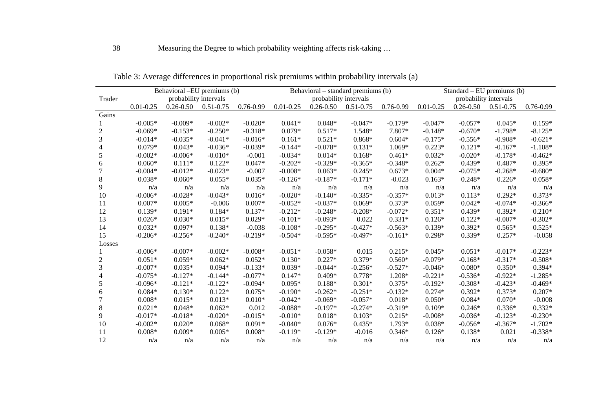|                  | Behavioral –EU premiums (b) |                       |               |           | Behavioral – standard premiums (b) |                       |               |           | Standard – EU premiums $(b)$ |               |               |               |
|------------------|-----------------------------|-----------------------|---------------|-----------|------------------------------------|-----------------------|---------------|-----------|------------------------------|---------------|---------------|---------------|
| Trader           |                             | probability intervals |               |           |                                    | probability intervals |               |           | probability intervals        |               |               |               |
|                  | $0.01 - 0.25$               | $0.26 - 0.50$         | $0.51 - 0.75$ | 0.76-0.99 | $0.01 - 0.25$                      | $0.26 - 0.50$         | $0.51 - 0.75$ | 0.76-0.99 | $0.01 - 0.25$                | $0.26 - 0.50$ | $0.51 - 0.75$ | $0.76 - 0.99$ |
| Gains            |                             |                       |               |           |                                    |                       |               |           |                              |               |               |               |
|                  | $-0.005*$                   | $-0.009*$             | $-0.002*$     | $-0.020*$ | $0.041*$                           | $0.048*$              | $-0.047*$     | $-0.179*$ | $-0.047*$                    | $-0.057*$     | $0.045*$      | $0.159*$      |
| 2                | $-0.069*$                   | $-0.153*$             | $-0.250*$     | $-0.318*$ | $0.079*$                           | $0.517*$              | 1.548*        | 7.807*    | $-0.148*$                    | $-0.670*$     | $-1.798*$     | $-8.125*$     |
| 3                | $-0.014*$                   | $-0.035*$             | $-0.041*$     | $-0.016*$ | $0.161*$                           | $0.521*$              | $0.868*$      | $0.604*$  | $-0.175*$                    | $-0.556*$     | $-0.908*$     | $-0.621*$     |
| 4                | $0.079*$                    | $0.043*$              | $-0.036*$     | $-0.039*$ | $-0.144*$                          | $-0.078*$             | $0.131*$      | 1.069*    | $0.223*$                     | $0.121*$      | $-0.167*$     | $-1.108*$     |
| 5                | $-0.002*$                   | $-0.006*$             | $-0.010*$     | $-0.001$  | $-0.034*$                          | $0.014*$              | $0.168*$      | $0.461*$  | $0.032*$                     | $-0.020*$     | $-0.178*$     | $-0.462*$     |
| 6                | $0.060*$                    | $0.111*$              | $0.122*$      | $0.047*$  | $-0.202*$                          | $-0.329*$             | $-0.365*$     | $-0.348*$ | $0.262*$                     | $0.439*$      | $0.487*$      | $0.395*$      |
| 7                | $-0.004*$                   | $-0.012*$             | $-0.023*$     | $-0.007$  | $-0.008*$                          | $0.063*$              | $0.245*$      | $0.673*$  | $0.004*$                     | $-0.075*$     | $-0.268*$     | $-0.680*$     |
| 8                | $0.038*$                    | $0.060*$              | $0.055*$      | $0.035*$  | $-0.126*$                          | $-0.187*$             | $-0.171*$     | $-0.023$  | $0.163*$                     | $0.248*$      | $0.226*$      | $0.058*$      |
| 9                | n/a                         | n/a                   | n/a           | n/a       | n/a                                | n/a                   | n/a           | n/a       | n/a                          | n/a           | n/a           | n/a           |
| 10               | $-0.006*$                   | $-0.028*$             | $-0.043*$     | $0.016*$  | $-0.020*$                          | $-0.140*$             | $-0.335*$     | $-0.357*$ | $0.013*$                     | $0.113*$      | $0.292*$      | $0.373*$      |
| 11               | $0.007*$                    | $0.005*$              | $-0.006$      | $0.007*$  | $-0.052*$                          | $-0.037*$             | $0.069*$      | $0.373*$  | $0.059*$                     | $0.042*$      | $-0.074*$     | $-0.366*$     |
| 12               | $0.139*$                    | $0.191*$              | $0.184*$      | $0.137*$  | $-0.212*$                          | $-0.248*$             | $-0.208*$     | $-0.072*$ | $0.351*$                     | $0.439*$      | $0.392*$      | $0.210*$      |
| 13               | $0.026*$                    | $0.030*$              | $0.015*$      | $0.029*$  | $-0.101*$                          | $-0.093*$             | 0.022         | $0.331*$  | $0.126*$                     | $0.122*$      | $-0.007*$     | $-0.302*$     |
| 14               | $0.032*$                    | $0.097*$              | $0.138*$      | $-0.038$  | $-0.108*$                          | $-0.295*$             | $-0.427*$     | $-0.563*$ | $0.139*$                     | $0.392*$      | $0.565*$      | $0.525*$      |
| 15               | $-0.206*$                   | $-0.256*$             | $-0.240*$     | $-0.219*$ | $-0.504*$                          | $-0.595*$             | $-0.497*$     | $-0.161*$ | $0.298*$                     | $0.339*$      | $0.257*$      | $-0.058$      |
| Losses           |                             |                       |               |           |                                    |                       |               |           |                              |               |               |               |
|                  | $-0.006*$                   | $-0.007*$             | $-0.002*$     | $-0.008*$ | $-0.051*$                          | $-0.058*$             | 0.015         | $0.215*$  | $0.045*$                     | $0.051*$      | $-0.017*$     | $-0.223*$     |
| $\boldsymbol{2}$ | $0.051*$                    | $0.059*$              | $0.062*$      | $0.052*$  | $0.130*$                           | $0.227*$              | $0.379*$      | $0.560*$  | $-0.079*$                    | $-0.168*$     | $-0.317*$     | $-0.508*$     |
| 3                | $-0.007*$                   | $0.035*$              | $0.094*$      | $-0.133*$ | $0.039*$                           | $-0.044*$             | $-0.256*$     | $-0.527*$ | $-0.046*$                    | $0.080*$      | $0.350*$      | $0.394*$      |
| 4                | $-0.075*$                   | $-0.127*$             | $-0.144*$     | $-0.077*$ | $0.147*$                           | $0.409*$              | $0.778*$      | 1.208*    | $-0.221*$                    | $-0.536*$     | $-0.922*$     | $-1.285*$     |
| 5                | $-0.096*$                   | $-0.121*$             | $-0.122*$     | $-0.094*$ | $0.095*$                           | $0.188*$              | $0.301*$      | $0.375*$  | $-0.192*$                    | $-0.308*$     | $-0.423*$     | $-0.469*$     |
| 6                | $0.084*$                    | $0.130*$              | $0.122*$      | $0.075*$  | $-0.190*$                          | $-0.262*$             | $-0.251*$     | $-0.132*$ | $0.274*$                     | $0.392*$      | $0.373*$      | $0.207*$      |
| 7                | $0.008*$                    | $0.015*$              | $0.013*$      | $0.010*$  | $-0.042*$                          | $-0.069*$             | $-0.057*$     | $0.018*$  | $0.050*$                     | $0.084*$      | $0.070*$      | $-0.008$      |
| 8                | $0.021*$                    | $0.048*$              | $0.062*$      | 0.012     | $-0.088*$                          | $-0.197*$             | $-0.274*$     | $-0.319*$ | $0.109*$                     | $0.246*$      | $0.336*$      | $0.332*$      |
| 9                | $-0.017*$                   | $-0.018*$             | $-0.020*$     | $-0.015*$ | $-0.010*$                          | $0.018*$              | $0.103*$      | $0.215*$  | $-0.008*$                    | $-0.036*$     | $-0.123*$     | $-0.230*$     |
| 10               | $-0.002*$                   | $0.020*$              | $0.068*$      | $0.091*$  | $-0.040*$                          | $0.076*$              | $0.435*$      | 1.793*    | $0.038*$                     | $-0.056*$     | $-0.367*$     | $-1.702*$     |
| 11               | $0.008*$                    | $0.009*$              | $0.005*$      | $0.008*$  | $-0.119*$                          | $-0.129*$             | $-0.016$      | $0.346*$  | $0.126*$                     | $0.138*$      | 0.021         | $-0.338*$     |
| 12               | n/a                         | n/a                   | n/a           | n/a       | n/a                                | n/a                   | n/a           | n/a       | n/a                          | n/a           | n/a           | n/a           |

Table 3: Average differences in proportional risk premiums within probability intervals (a)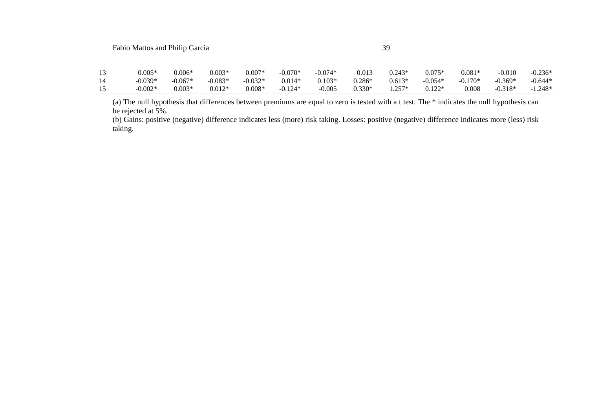| $0.005*$  | $0.006*$  | $0.003*$  | $0.007*$  | $-0.070*$ | $-0.074*$ | 0.013    | $0.243*$ | $0.075*$  | $0.081*$  | $-0.010$  | $-0.236*$ |
|-----------|-----------|-----------|-----------|-----------|-----------|----------|----------|-----------|-----------|-----------|-----------|
| $-0.039*$ | $-0.067*$ | $-0.083*$ | $-0.032*$ | $0.014*$  | $0.103*$  | $0.286*$ | $0.613*$ | $-0.054*$ | $-0.170*$ | $-0.369*$ | $-0.644*$ |
| $-0.002*$ | $0.003*$  | $0.012*$  | $0.008*$  | $-0.124*$ | $-0.005$  | $0.330*$ | $1.257*$ | $0.122*$  | 0.008     | $-0.318*$ | $-1.248*$ |

(a) The null hypothesis that differences between premiums are equal to zero is tested with a t test. The \* indicates the null hypothesis can be rejected at 5%.

(b) Gains: positive (negative) difference indicates less (more) risk taking. Losses: positive (negative) difference indicates more (less) risk taking.